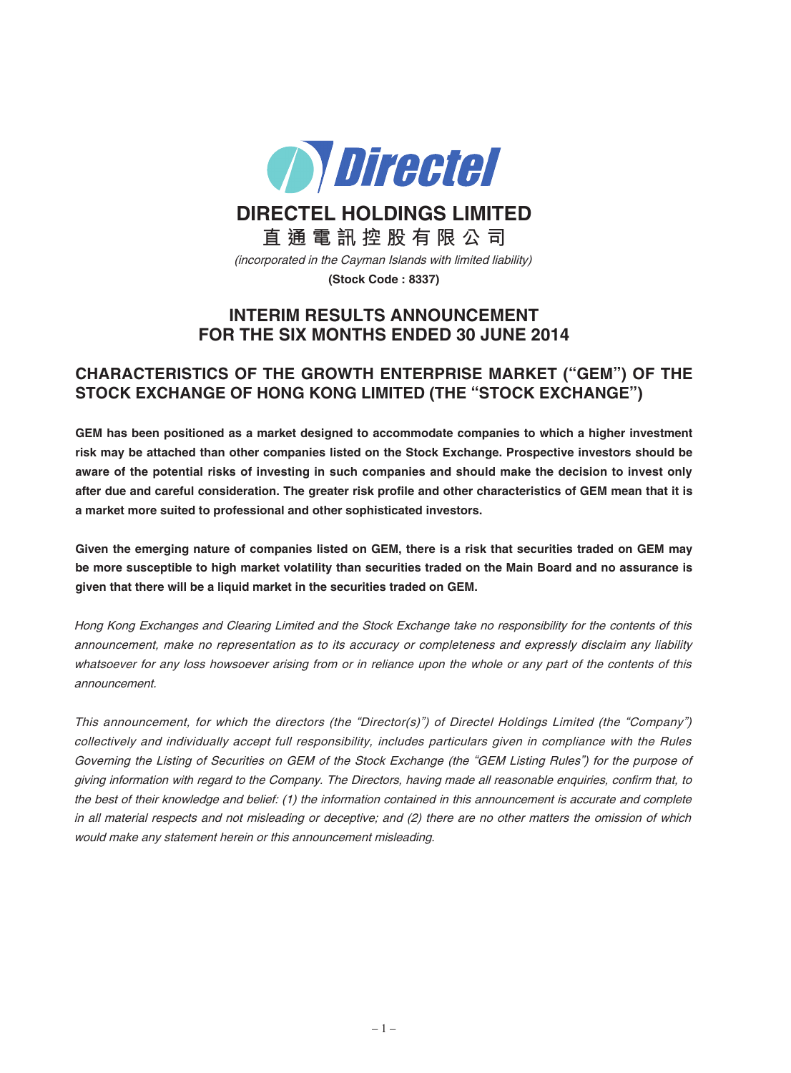

**DIRECTEL HOLDINGS LIMITED**

**直 通 電 訊 控 股 有 限 公 司** (incorporated in the Cayman Islands with limited liability)

**(Stock Code : 8337)**

# **INTERIM RESULTS ANNOUNCEMENT FOR THE SIX MONTHS ENDED 30 JUNE 2014**

# **CHARACTERISTICS OF THE GROWTH ENTERPRISE MARKET ("GEM") OF THE STOCK EXCHANGE OF HONG KONG LIMITED (THE "STOCK EXCHANGE")**

**GEM has been positioned as a market designed to accommodate companies to which a higher investment risk may be attached than other companies listed on the Stock Exchange. Prospective investors should be** aware of the potential risks of investing in such companies and should make the decision to invest only after due and careful consideration. The greater risk profile and other characteristics of GEM mean that it is **a market more suited to professional and other sophisticated investors.**

Given the emerging nature of companies listed on GEM, there is a risk that securities traded on GEM may be more susceptible to high market volatility than securities traded on the Main Board and no assurance is **given that there will be a liquid market in the securities traded on GEM.**

Hong Kong Exchanges and Clearing Limited and the Stock Exchange take no responsibility for the contents of this announcement, make no representation as to its accuracy or completeness and expressly disclaim any liability whatsoever for any loss howsoever arising from or in reliance upon the whole or any part of the contents of this announcement.

This announcement, for which the directors (the "Director(s)") of Directel Holdings Limited (the "Company") collectively and individually accept full responsibility, includes particulars given in compliance with the Rules Governing the Listing of Securities on GEM of the Stock Exchange (the "GEM Listing Rules") for the purpose of giving information with regard to the Company. The Directors, having made all reasonable enquiries, confirm that, to the best of their knowledge and belief: (1) the information contained in this announcement is accurate and complete in all material respects and not misleading or deceptive; and (2) there are no other matters the omission of which would make any statement herein or this announcement misleading.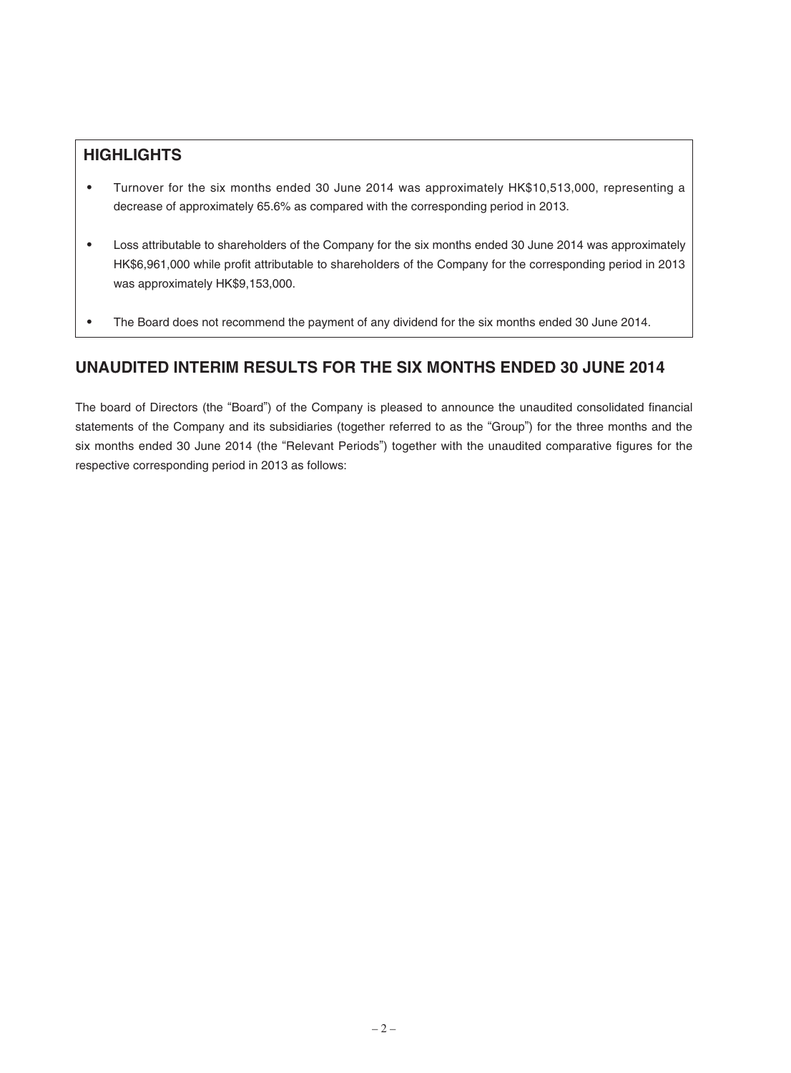# **HIGHLIGHTS**

- ‧ Turnover for the six months ended 30 June 2014 was approximately HK\$10,513,000, representing a decrease of approximately 65.6% as compared with the corresponding period in 2013.
- Loss attributable to shareholders of the Company for the six months ended 30 June 2014 was approximately HK\$6,961,000 while profit attributable to shareholders of the Company for the corresponding period in 2013 was approximately HK\$9,153,000.
- The Board does not recommend the payment of any dividend for the six months ended 30 June 2014.

# **UNAUDITED INTERIM RESULTS FOR THE SIX MONTHS ENDED 30 JUNE 2014**

The board of Directors (the "Board") of the Company is pleased to announce the unaudited consolidated financial statements of the Company and its subsidiaries (together referred to as the "Group") for the three months and the six months ended 30 June 2014 (the "Relevant Periods") together with the unaudited comparative figures for the respective corresponding period in 2013 as follows: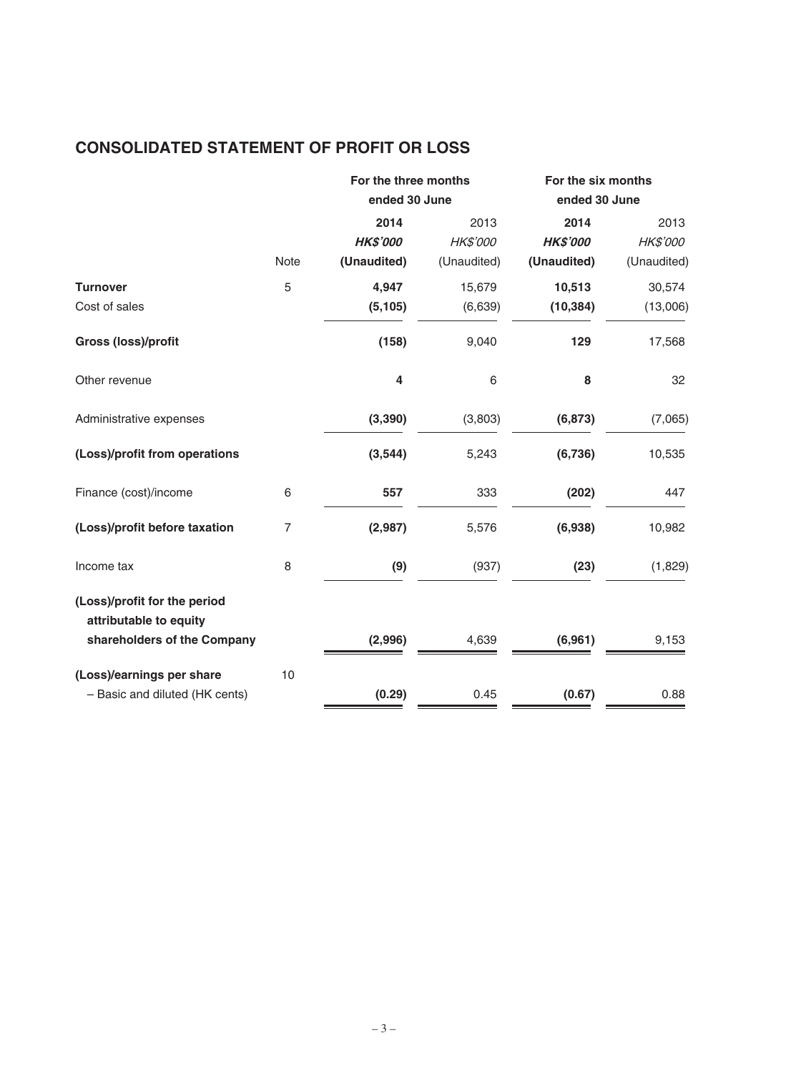# **CONSOLIDATED STATEMENT OF PROFIT OR LOSS**

|                | 2014            | 2013        | 2014                                  | 2013                                |
|----------------|-----------------|-------------|---------------------------------------|-------------------------------------|
|                | <b>HK\$'000</b> | HK\$'000    | <b>HK\$'000</b>                       | HK\$'000                            |
| <b>Note</b>    | (Unaudited)     | (Unaudited) | (Unaudited)                           | (Unaudited)                         |
| 5              | 4,947           | 15,679      | 10,513                                | 30,574                              |
|                | (5, 105)        | (6,639)     | (10, 384)                             | (13,006)                            |
|                | (158)           | 9,040       | 129                                   | 17,568                              |
|                | 4               | 6           | 8                                     | 32                                  |
|                | (3, 390)        | (3,803)     | (6, 873)                              | (7,065)                             |
|                | (3, 544)        | 5,243       | (6,736)                               | 10,535                              |
| 6              | 557             | 333         | (202)                                 | 447                                 |
| $\overline{7}$ | (2,987)         | 5,576       | (6,938)                               | 10,982                              |
| 8              | (9)             | (937)       | (23)                                  | (1,829)                             |
|                |                 |             |                                       |                                     |
|                | (2,996)         | 4,639       | (6,961)                               | 9,153                               |
| 10             |                 |             |                                       |                                     |
|                | (0.29)          | 0.45        | (0.67)                                | 0.88                                |
|                |                 |             | For the three months<br>ended 30 June | For the six months<br>ended 30 June |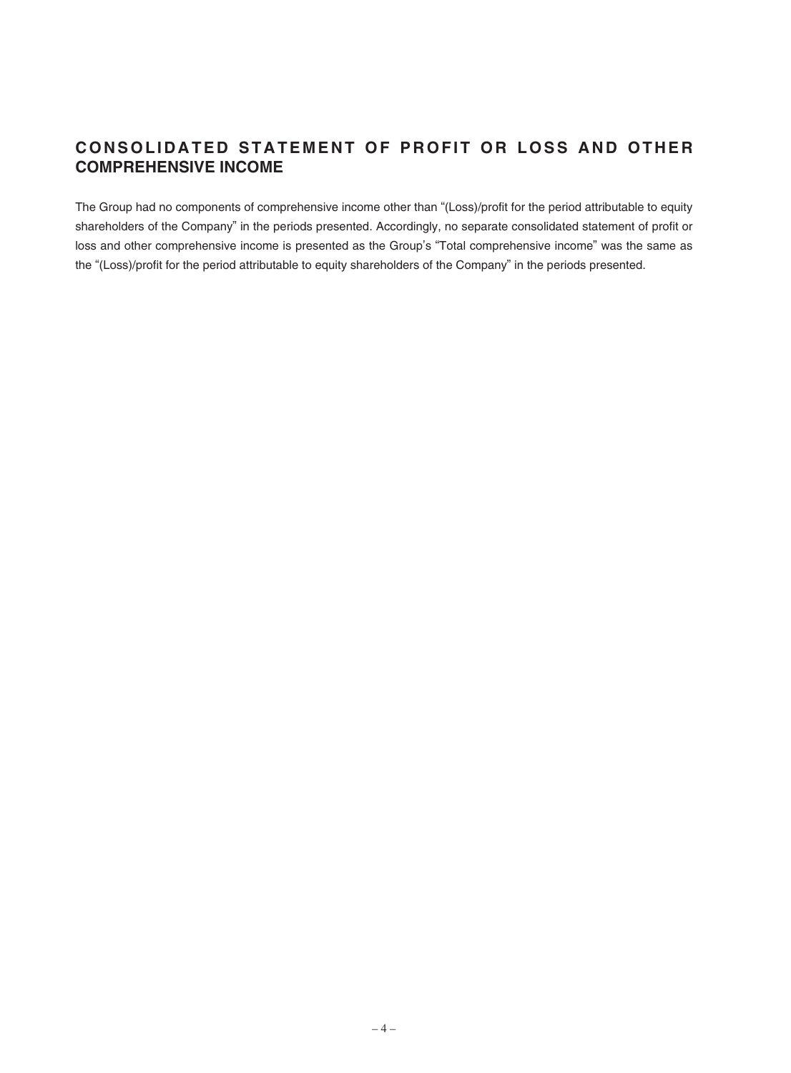# CONSOLIDATED STATEMENT OF PROFIT OR LOSS AND OTHER **COMPREHENSIVE INCOME**

The Group had no components of comprehensive income other than "(Loss)/profit for the period attributable to equity shareholders of the Company" in the periods presented. Accordingly, no separate consolidated statement of profit or loss and other comprehensive income is presented as the Group's "Total comprehensive income" was the same as the "(Loss)/profit for the period attributable to equity shareholders of the Company" in the periods presented.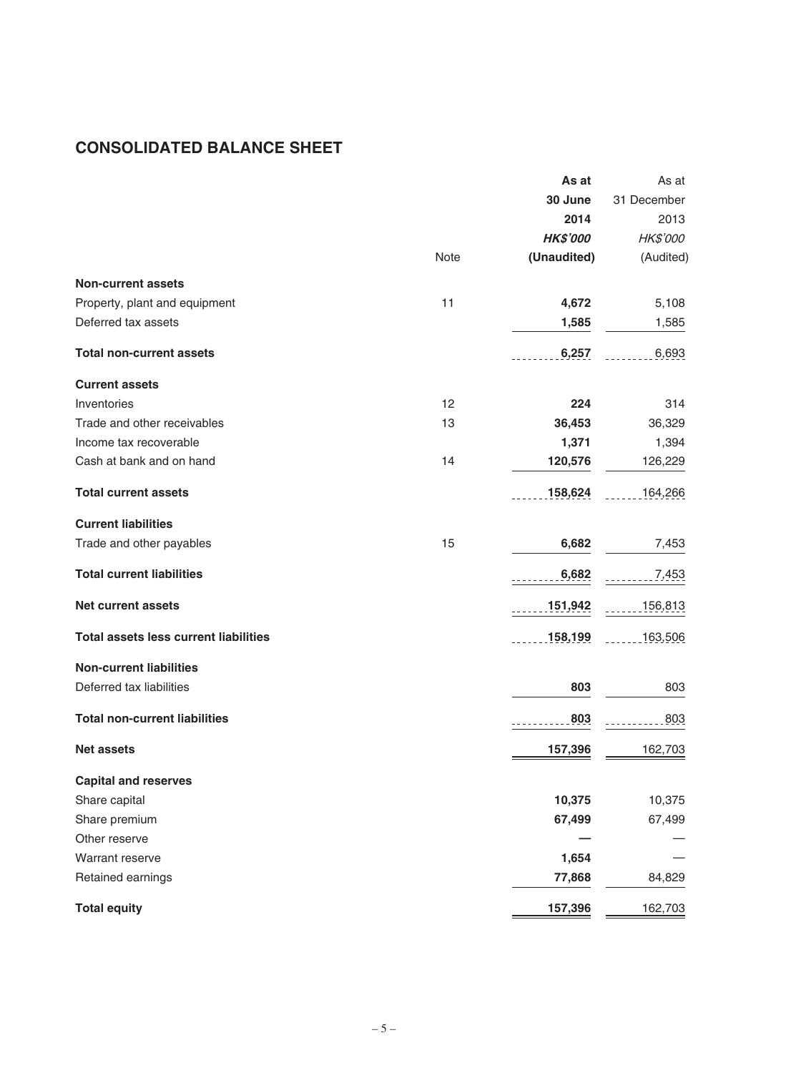# **CONSOLIDATED BALANCE SHEET**

|                                              |      | As at           | As at       |
|----------------------------------------------|------|-----------------|-------------|
|                                              |      | 30 June         | 31 December |
|                                              |      | 2014            | 2013        |
|                                              |      | <b>HK\$'000</b> | HK\$'000    |
|                                              | Note | (Unaudited)     | (Audited)   |
| <b>Non-current assets</b>                    |      |                 |             |
| Property, plant and equipment                | 11   | 4,672           | 5,108       |
| Deferred tax assets                          |      | 1,585           | 1,585       |
| <b>Total non-current assets</b>              |      | 6,257           | 6,693       |
| <b>Current assets</b>                        |      |                 |             |
| Inventories                                  | 12   | 224             | 314         |
| Trade and other receivables                  | 13   | 36,453          | 36,329      |
| Income tax recoverable                       |      | 1,371           | 1,394       |
| Cash at bank and on hand                     | 14   | 120,576         | 126,229     |
| <b>Total current assets</b>                  |      | 158,624         | 164,266     |
| <b>Current liabilities</b>                   |      |                 |             |
| Trade and other payables                     | 15   | 6,682           | 7,453       |
| <b>Total current liabilities</b>             |      | 6,682           | $-7,453$    |
| <b>Net current assets</b>                    |      | 151,942         | 156,813     |
| <b>Total assets less current liabilities</b> |      | 158,199         | 163,506     |
| <b>Non-current liabilities</b>               |      |                 |             |
| Deferred tax liabilities                     |      | 803             | 803         |
| <b>Total non-current liabilities</b>         |      | 803             | 803         |
| <b>Net assets</b>                            |      | 157,396         | 162,703     |
| <b>Capital and reserves</b>                  |      |                 |             |
| Share capital                                |      | 10,375          | 10,375      |
| Share premium                                |      | 67,499          | 67,499      |
| Other reserve                                |      |                 |             |
| Warrant reserve                              |      | 1,654           |             |
| Retained earnings                            |      | 77,868          | 84,829      |
| <b>Total equity</b>                          |      | 157,396         | 162,703     |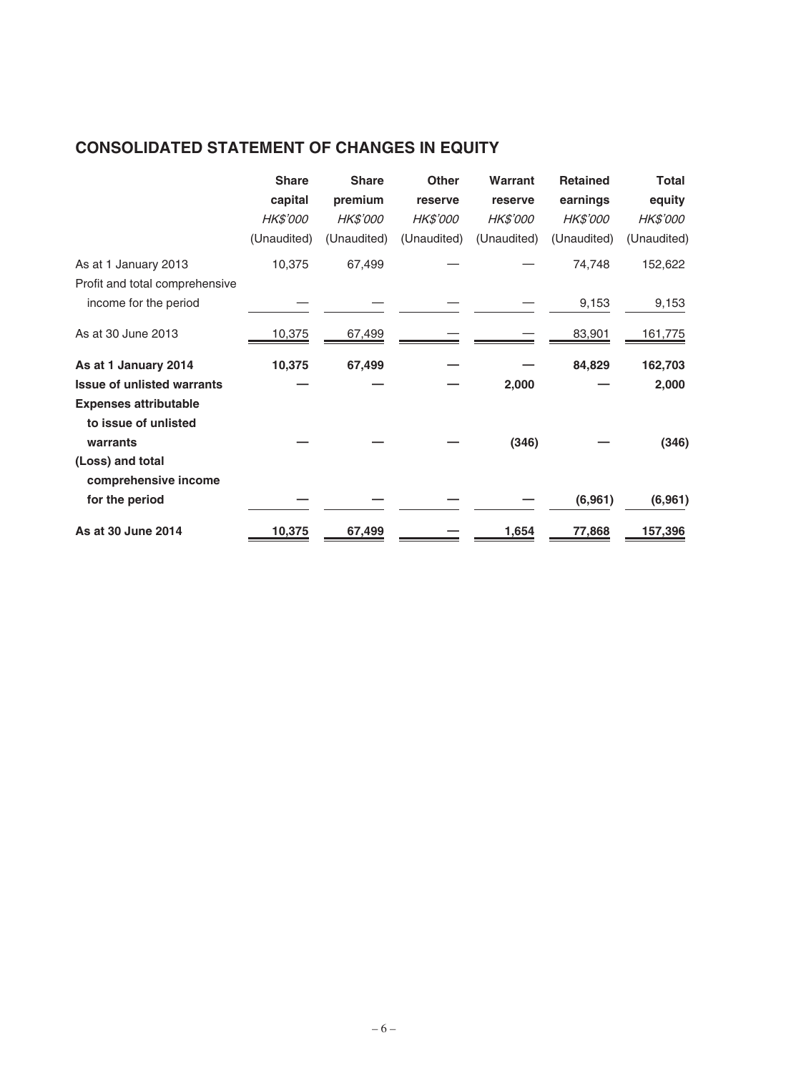# **CONSOLIDATED STATEMENT OF CHANGES IN EQUITY**

|                                   | <b>Share</b>    | <b>Share</b> | <b>Other</b>    | Warrant         | <b>Retained</b> | <b>Total</b> |
|-----------------------------------|-----------------|--------------|-----------------|-----------------|-----------------|--------------|
|                                   | capital         | premium      | reserve         | reserve         | earnings        | equity       |
|                                   | <b>HK\$'000</b> | HK\$'000     | <b>HK\$'000</b> | <b>HK\$'000</b> | <b>HK\$'000</b> | HK\$'000     |
|                                   | (Unaudited)     | (Unaudited)  | (Unaudited)     | (Unaudited)     | (Unaudited)     | (Unaudited)  |
| As at 1 January 2013              | 10,375          | 67,499       |                 |                 | 74,748          | 152,622      |
| Profit and total comprehensive    |                 |              |                 |                 |                 |              |
| income for the period             |                 |              |                 |                 | 9,153           | 9,153        |
| As at 30 June 2013                | 10,375          | 67,499       |                 |                 | 83,901          | 161,775      |
| As at 1 January 2014              | 10,375          | 67,499       |                 |                 | 84,829          | 162,703      |
| <b>Issue of unlisted warrants</b> |                 |              |                 | 2,000           |                 | 2,000        |
| <b>Expenses attributable</b>      |                 |              |                 |                 |                 |              |
| to issue of unlisted              |                 |              |                 |                 |                 |              |
| warrants                          |                 |              |                 | (346)           |                 | (346)        |
| (Loss) and total                  |                 |              |                 |                 |                 |              |
| comprehensive income              |                 |              |                 |                 |                 |              |
| for the period                    |                 |              |                 |                 | (6,961)         | (6, 961)     |
| As at 30 June 2014                | 10,375          | 67,499       |                 | 1,654           | 77,868          | 157,396      |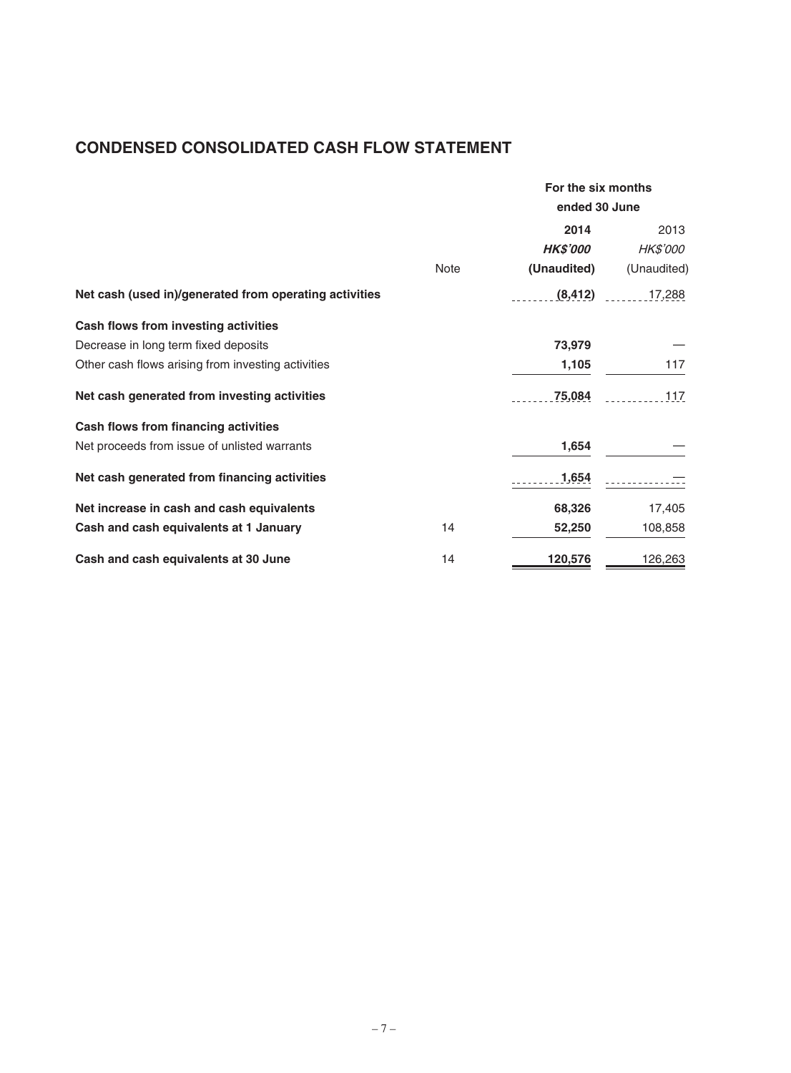# **CONDENSED CONSOLIDATED CASH FLOW STATEMENT**

|                                                        |      | For the six months<br>ended 30 June |                 |  |
|--------------------------------------------------------|------|-------------------------------------|-----------------|--|
|                                                        |      | 2014                                | 2013            |  |
|                                                        |      | <b>HK\$'000</b>                     | <i>HK\$'000</i> |  |
|                                                        | Note | (Unaudited)                         | (Unaudited)     |  |
| Net cash (used in)/generated from operating activities |      | (8, 412)                            | 17,288          |  |
| Cash flows from investing activities                   |      |                                     |                 |  |
| Decrease in long term fixed deposits                   |      | 73,979                              |                 |  |
| Other cash flows arising from investing activities     |      | 1,105                               | 117             |  |
| Net cash generated from investing activities           |      | 75,084                              | 117             |  |
| Cash flows from financing activities                   |      |                                     |                 |  |
| Net proceeds from issue of unlisted warrants           |      | 1,654                               |                 |  |
| Net cash generated from financing activities           |      | 1,654                               |                 |  |
| Net increase in cash and cash equivalents              |      | 68,326                              | 17,405          |  |
| Cash and cash equivalents at 1 January                 | 14   | 52,250                              | 108,858         |  |
| Cash and cash equivalents at 30 June                   | 14   | 120,576                             | 126,263         |  |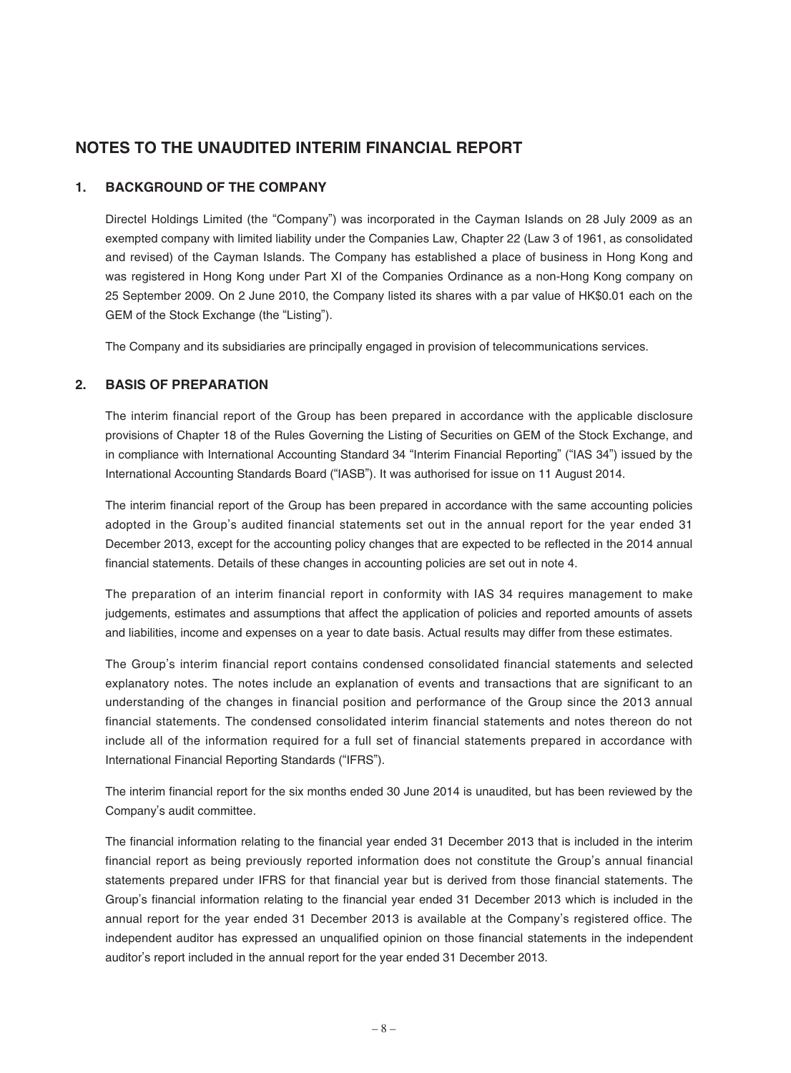# **NOTES TO THE UNAUDITED INTERIM FINANCIAL REPORT**

## **1. BACKGROUND OF THE COMPANY**

Directel Holdings Limited (the "Company") was incorporated in the Cayman Islands on 28 July 2009 as an exempted company with limited liability under the Companies Law, Chapter 22 (Law 3 of 1961, as consolidated and revised) of the Cayman Islands. The Company has established a place of business in Hong Kong and was registered in Hong Kong under Part XI of the Companies Ordinance as a non-Hong Kong company on 25 September 2009. On 2 June 2010, the Company listed its shares with a par value of HK\$0.01 each on the GEM of the Stock Exchange (the "Listing").

The Company and its subsidiaries are principally engaged in provision of telecommunications services.

#### **2. BASIS OF PREPARATION**

The interim financial report of the Group has been prepared in accordance with the applicable disclosure provisions of Chapter 18 of the Rules Governing the Listing of Securities on GEM of the Stock Exchange, and in compliance with International Accounting Standard 34 "Interim Financial Reporting" ("IAS 34") issued by the International Accounting Standards Board ("IASB"). It was authorised for issue on 11 August 2014.

The interim financial report of the Group has been prepared in accordance with the same accounting policies adopted in the Group's audited financial statements set out in the annual report for the year ended 31 December 2013, except for the accounting policy changes that are expected to be reflected in the 2014 annual financial statements. Details of these changes in accounting policies are set out in note 4.

The preparation of an interim financial report in conformity with IAS 34 requires management to make judgements, estimates and assumptions that affect the application of policies and reported amounts of assets and liabilities, income and expenses on a year to date basis. Actual results may differ from these estimates.

The Group's interim financial report contains condensed consolidated financial statements and selected explanatory notes. The notes include an explanation of events and transactions that are significant to an understanding of the changes in financial position and performance of the Group since the 2013 annual financial statements. The condensed consolidated interim financial statements and notes thereon do not include all of the information required for a full set of financial statements prepared in accordance with International Financial Reporting Standards ("IFRS").

The interim financial report for the six months ended 30 June 2014 is unaudited, but has been reviewed by the Company's audit committee.

The financial information relating to the financial year ended 31 December 2013 that is included in the interim financial report as being previously reported information does not constitute the Group's annual financial statements prepared under IFRS for that financial year but is derived from those financial statements. The Group's financial information relating to the financial year ended 31 December 2013 which is included in the annual report for the year ended 31 December 2013 is available at the Company's registered office. The independent auditor has expressed an unqualified opinion on those financial statements in the independent auditor's report included in the annual report for the year ended 31 December 2013.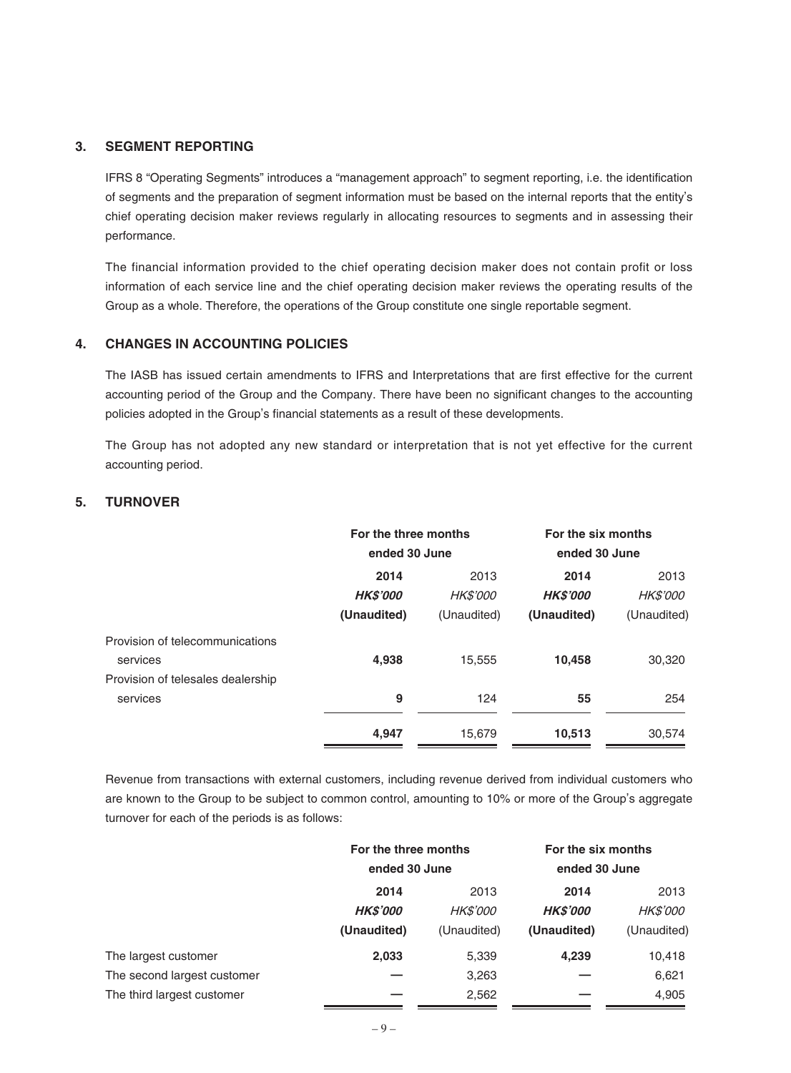### **3. SEGMENT REPORTING**

IFRS 8 "Operating Segments" introduces a "management approach" to segment reporting, i.e. the identification of segments and the preparation of segment information must be based on the internal reports that the entity's chief operating decision maker reviews regularly in allocating resources to segments and in assessing their performance.

The financial information provided to the chief operating decision maker does not contain profit or loss information of each service line and the chief operating decision maker reviews the operating results of the Group as a whole. Therefore, the operations of the Group constitute one single reportable segment.

#### **4. CHANGES IN ACCOUNTING POLICIES**

The IASB has issued certain amendments to IFRS and Interpretations that are first effective for the current accounting period of the Group and the Company. There have been no significant changes to the accounting policies adopted in the Group's financial statements as a result of these developments.

The Group has not adopted any new standard or interpretation that is not yet effective for the current accounting period.

# **5. TURNOVER**

|                                   | For the three months<br>ended 30 June |                 | For the six months<br>ended 30 June |                 |
|-----------------------------------|---------------------------------------|-----------------|-------------------------------------|-----------------|
|                                   | 2014                                  | 2013            | 2014                                | 2013            |
|                                   | <b>HKS'000</b>                        | <b>HK\$'000</b> | <b>HKS'000</b>                      | <b>HK\$'000</b> |
|                                   | (Unaudited)                           | (Unaudited)     | (Unaudited)                         | (Unaudited)     |
| Provision of telecommunications   |                                       |                 |                                     |                 |
| services                          | 4,938                                 | 15,555          | 10,458                              | 30,320          |
| Provision of telesales dealership |                                       |                 |                                     |                 |
| services                          | 9                                     | 124             | 55                                  | 254             |
|                                   | 4,947                                 | 15,679          | 10,513                              | 30,574          |
|                                   |                                       |                 |                                     |                 |

Revenue from transactions with external customers, including revenue derived from individual customers who are known to the Group to be subject to common control, amounting to 10% or more of the Group's aggregate turnover for each of the periods is as follows:

|                             | For the three months<br>ended 30 June |                 | For the six months<br>ended 30 June |                 |
|-----------------------------|---------------------------------------|-----------------|-------------------------------------|-----------------|
|                             | 2014                                  | 2013            | 2014                                | 2013            |
|                             | <b>HKS'000</b>                        | <b>HK\$'000</b> | <b>HKS'000</b>                      | <b>HK\$'000</b> |
|                             | (Unaudited)                           | (Unaudited)     | (Unaudited)                         | (Unaudited)     |
| The largest customer        | 2,033                                 | 5,339           | 4,239                               | 10,418          |
| The second largest customer |                                       | 3,263           |                                     | 6,621           |
| The third largest customer  |                                       | 2,562           |                                     | 4,905           |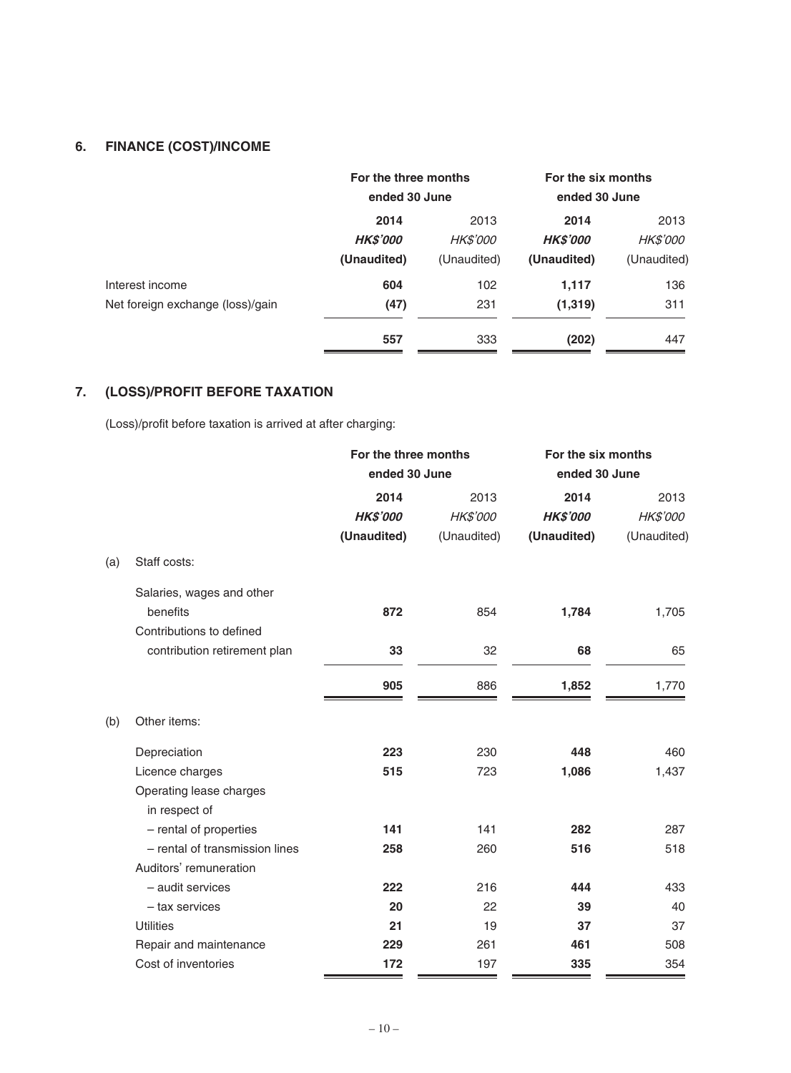# **6. FINANCE (COST)/INCOME**

|                                  | For the three months<br>ended 30 June |                 | For the six months<br>ended 30 June |                 |
|----------------------------------|---------------------------------------|-----------------|-------------------------------------|-----------------|
|                                  | 2014                                  | 2013            | 2014                                | 2013            |
|                                  | <b>HKS'000</b>                        | <b>HK\$'000</b> | <b>HKS'000</b>                      | <b>HK\$'000</b> |
|                                  | (Unaudited)                           | (Unaudited)     | (Unaudited)                         | (Unaudited)     |
| Interest income                  | 604                                   | 102             | 1,117                               | 136             |
| Net foreign exchange (loss)/gain | (47)                                  | 231             | (1, 319)                            | 311             |
|                                  | 557                                   | 333             | (202)                               | 447             |

# **7. (LOSS)/PROFIT BEFORE TAXATION**

(Loss)/profit before taxation is arrived at after charging:

|     |                                | For the three months |             | For the six months |             |
|-----|--------------------------------|----------------------|-------------|--------------------|-------------|
|     |                                | ended 30 June        |             | ended 30 June      |             |
|     |                                | 2014                 | 2013        | 2014               | 2013        |
|     |                                | <b>HK\$'000</b>      | HK\$'000    | <b>HK\$'000</b>    | HK\$'000    |
|     |                                | (Unaudited)          | (Unaudited) | (Unaudited)        | (Unaudited) |
| (a) | Staff costs:                   |                      |             |                    |             |
|     | Salaries, wages and other      |                      |             |                    |             |
|     | benefits                       | 872                  | 854         | 1,784              | 1,705       |
|     | Contributions to defined       |                      |             |                    |             |
|     | contribution retirement plan   | 33                   | 32          | 68                 | 65          |
|     |                                | 905                  | 886         | 1,852              | 1,770       |
| (b) | Other items:                   |                      |             |                    |             |
|     | Depreciation                   | 223                  | 230         | 448                | 460         |
|     | Licence charges                | 515                  | 723         | 1,086              | 1,437       |
|     | Operating lease charges        |                      |             |                    |             |
|     | in respect of                  |                      |             |                    |             |
|     | - rental of properties         | 141                  | 141         | 282                | 287         |
|     | - rental of transmission lines | 258                  | 260         | 516                | 518         |
|     | Auditors' remuneration         |                      |             |                    |             |
|     | - audit services               | 222                  | 216         | 444                | 433         |
|     | - tax services                 | 20                   | 22          | 39                 | 40          |
|     | <b>Utilities</b>               | 21                   | 19          | 37                 | 37          |
|     | Repair and maintenance         | 229                  | 261         | 461                | 508         |
|     | Cost of inventories            | 172                  | 197         | 335                | 354         |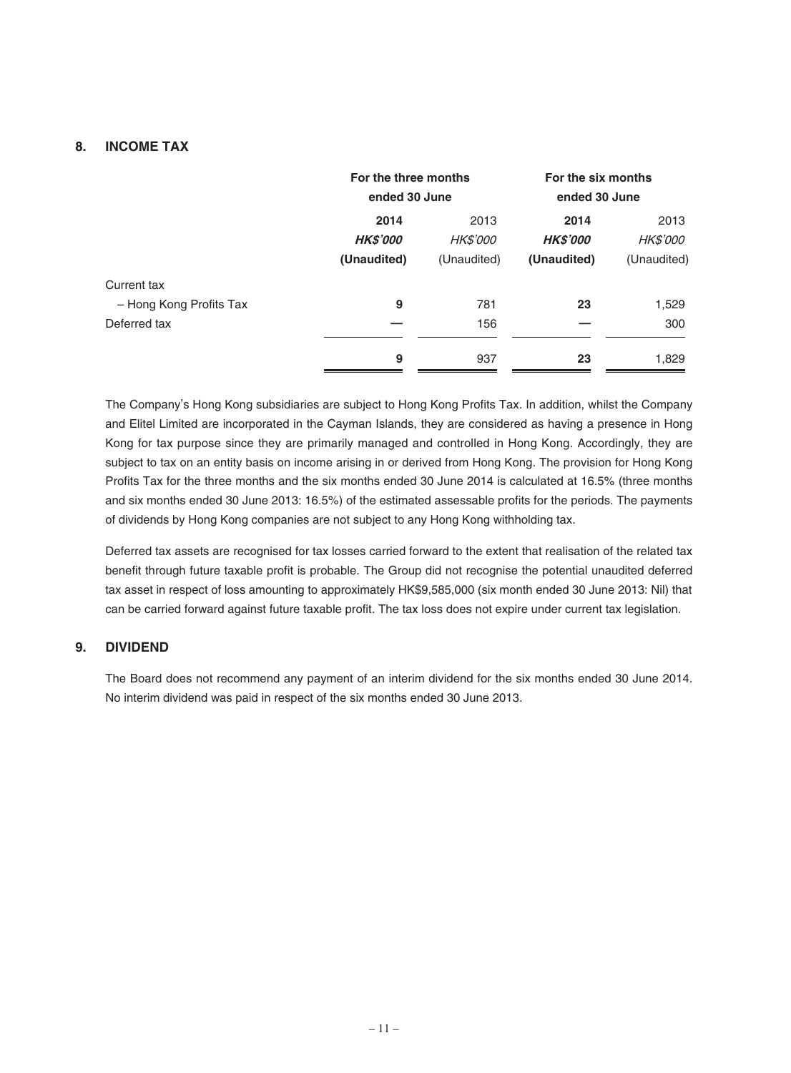## **8. INCOME TAX**

|                         | For the three months<br>ended 30 June |                 | For the six months<br>ended 30 June |                 |
|-------------------------|---------------------------------------|-----------------|-------------------------------------|-----------------|
|                         | 2014                                  | 2013            | 2014                                | 2013            |
|                         | <b>HK\$'000</b>                       | <b>HK\$'000</b> | <b>HK\$'000</b>                     | <i>HK\$'000</i> |
|                         | (Unaudited)                           | (Unaudited)     | (Unaudited)                         | (Unaudited)     |
| Current tax             |                                       |                 |                                     |                 |
| - Hong Kong Profits Tax | 9                                     | 781             | 23                                  | 1,529           |
| Deferred tax            |                                       | 156             |                                     | 300             |
|                         | 9                                     | 937             | 23                                  | 1,829           |

The Company's Hong Kong subsidiaries are subject to Hong Kong Profits Tax. In addition, whilst the Company and Elitel Limited are incorporated in the Cayman Islands, they are considered as having a presence in Hong Kong for tax purpose since they are primarily managed and controlled in Hong Kong. Accordingly, they are subject to tax on an entity basis on income arising in or derived from Hong Kong. The provision for Hong Kong Profits Tax for the three months and the six months ended 30 June 2014 is calculated at 16.5% (three months and six months ended 30 June 2013: 16.5%) of the estimated assessable profits for the periods. The payments of dividends by Hong Kong companies are not subject to any Hong Kong withholding tax.

Deferred tax assets are recognised for tax losses carried forward to the extent that realisation of the related tax benefit through future taxable profit is probable. The Group did not recognise the potential unaudited deferred tax asset in respect of loss amounting to approximately HK\$9,585,000 (six month ended 30 June 2013: Nil) that can be carried forward against future taxable profit. The tax loss does not expire under current tax legislation.

## **9. DIVIDEND**

The Board does not recommend any payment of an interim dividend for the six months ended 30 June 2014. No interim dividend was paid in respect of the six months ended 30 June 2013.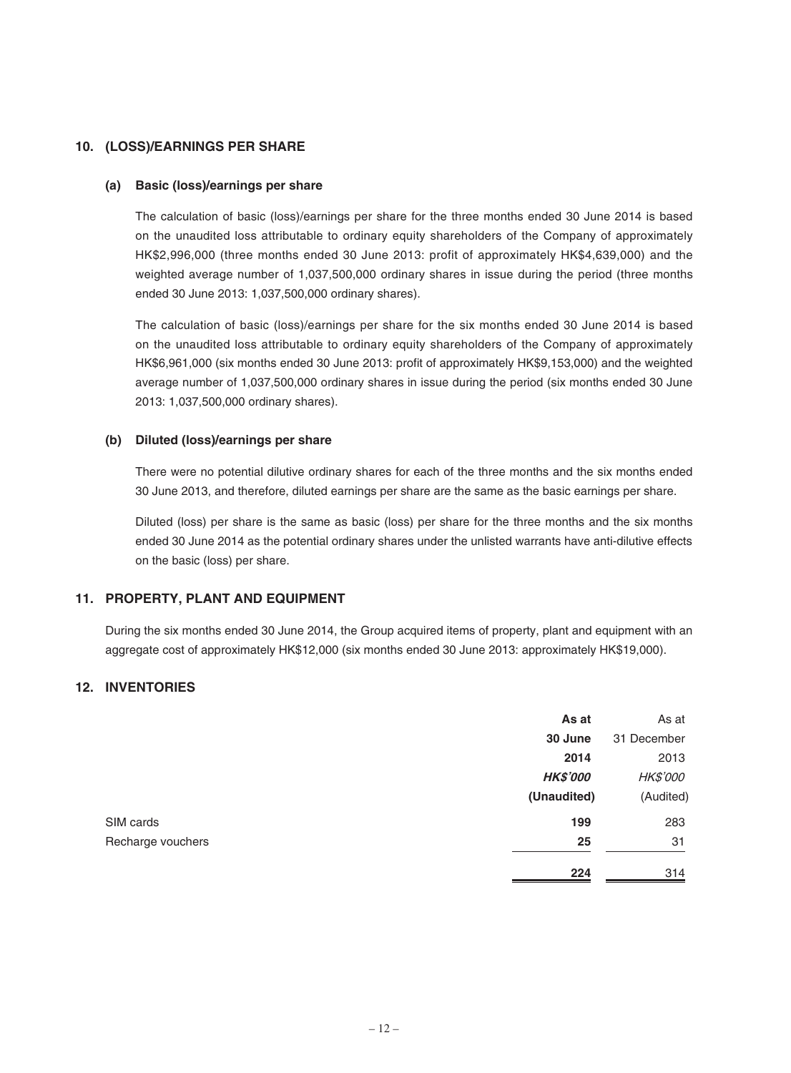# **10. (LOSS)/EARNINGS PER SHARE**

#### **(a) Basic (loss)/earnings per share**

The calculation of basic (loss)/earnings per share for the three months ended 30 June 2014 is based on the unaudited loss attributable to ordinary equity shareholders of the Company of approximately HK\$2,996,000 (three months ended 30 June 2013: profit of approximately HK\$4,639,000) and the weighted average number of 1,037,500,000 ordinary shares in issue during the period (three months ended 30 June 2013: 1,037,500,000 ordinary shares).

The calculation of basic (loss)/earnings per share for the six months ended 30 June 2014 is based on the unaudited loss attributable to ordinary equity shareholders of the Company of approximately HK\$6,961,000 (six months ended 30 June 2013: profit of approximately HK\$9,153,000) and the weighted average number of 1,037,500,000 ordinary shares in issue during the period (six months ended 30 June 2013: 1,037,500,000 ordinary shares).

#### **(b) Diluted (loss)/earnings per share**

There were no potential dilutive ordinary shares for each of the three months and the six months ended 30 June 2013, and therefore, diluted earnings per share are the same as the basic earnings per share.

Diluted (loss) per share is the same as basic (loss) per share for the three months and the six months ended 30 June 2014 as the potential ordinary shares under the unlisted warrants have anti-dilutive effects on the basic (loss) per share.

### **11. PROPERTY, PLANT AND EQUIPMENT**

During the six months ended 30 June 2014, the Group acquired items of property, plant and equipment with an aggregate cost of approximately HK\$12,000 (six months ended 30 June 2013: approximately HK\$19,000).

## **12. INVENTORIES**

|                   | As at           | As at           |
|-------------------|-----------------|-----------------|
|                   | 30 June         | 31 December     |
|                   | 2014            | 2013            |
|                   | <b>HK\$'000</b> | <b>HK\$'000</b> |
|                   | (Unaudited)     | (Audited)       |
| SIM cards         | 199             | 283             |
| Recharge vouchers | 25              | 31              |
|                   | 224             | 314             |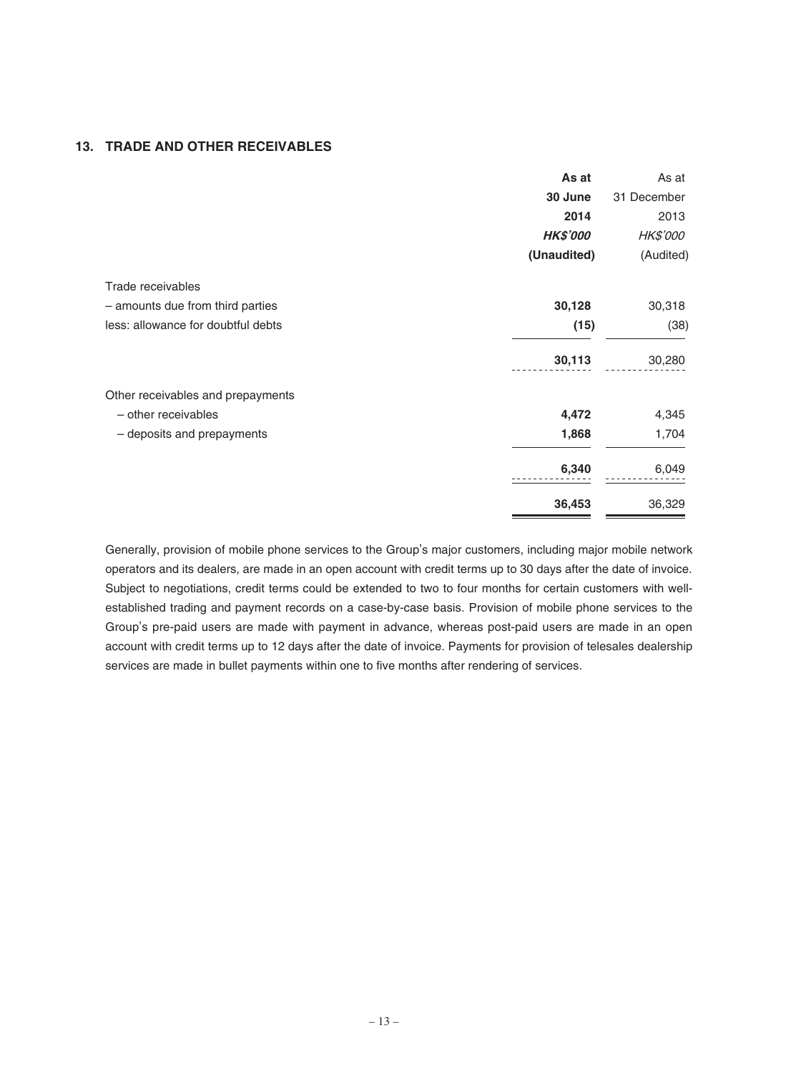### **13. TRADE AND OTHER RECEIVABLES**

|                                    | As at           | As at       |
|------------------------------------|-----------------|-------------|
|                                    | 30 June         | 31 December |
|                                    | 2014            | 2013        |
|                                    | <b>HK\$'000</b> | HK\$'000    |
|                                    | (Unaudited)     | (Audited)   |
| Trade receivables                  |                 |             |
| - amounts due from third parties   | 30,128          | 30,318      |
| less: allowance for doubtful debts | (15)            | (38)        |
|                                    | 30,113          | 30,280      |
| Other receivables and prepayments  |                 |             |
| - other receivables                | 4,472           | 4,345       |
| - deposits and prepayments         | 1,868           | 1,704       |
|                                    | 6,340           | 6,049       |
|                                    | 36,453          | 36,329      |

Generally, provision of mobile phone services to the Group's major customers, including major mobile network operators and its dealers, are made in an open account with credit terms up to 30 days after the date of invoice. Subject to negotiations, credit terms could be extended to two to four months for certain customers with wellestablished trading and payment records on a case-by-case basis. Provision of mobile phone services to the Group's pre-paid users are made with payment in advance, whereas post-paid users are made in an open account with credit terms up to 12 days after the date of invoice. Payments for provision of telesales dealership services are made in bullet payments within one to five months after rendering of services.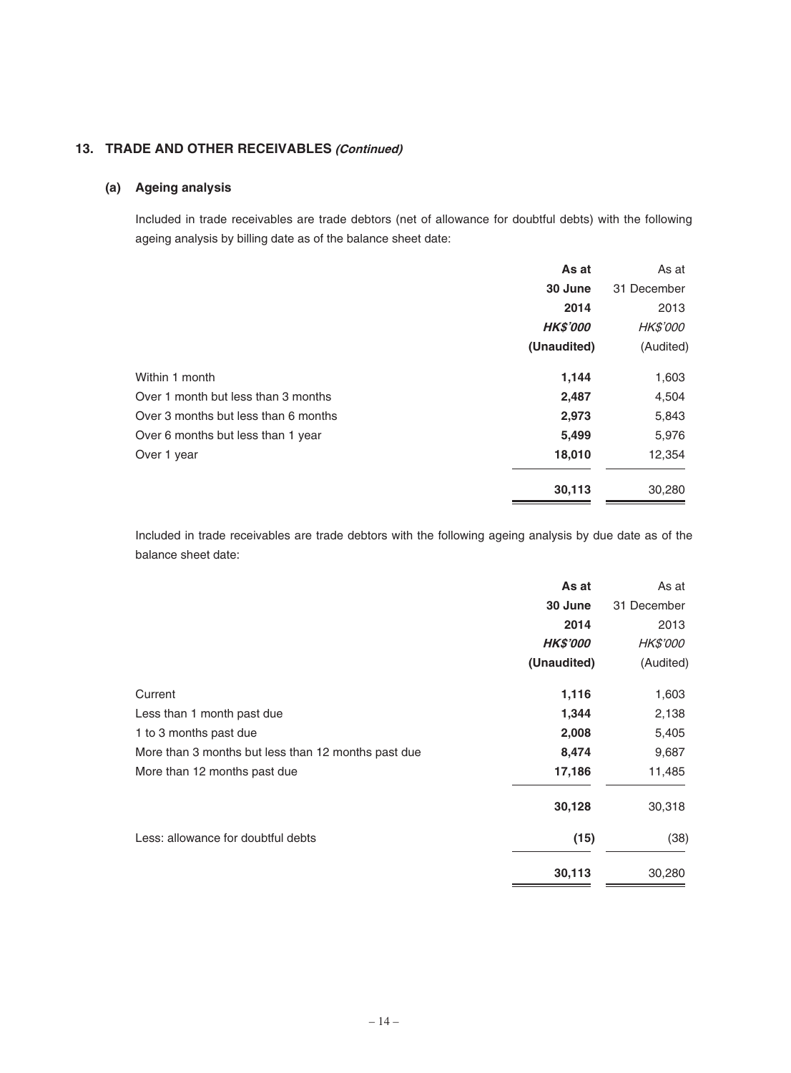# **13. TRADE AND OTHER RECEIVABLES (Continued)**

## **(a) Ageing analysis**

Included in trade receivables are trade debtors (net of allowance for doubtful debts) with the following ageing analysis by billing date as of the balance sheet date:

|                                      | As at           | As at           |
|--------------------------------------|-----------------|-----------------|
|                                      | 30 June         | 31 December     |
|                                      | 2014            | 2013            |
|                                      | <b>HK\$'000</b> | <b>HK\$'000</b> |
|                                      | (Unaudited)     | (Audited)       |
| Within 1 month                       | 1,144           | 1,603           |
| Over 1 month but less than 3 months  | 2,487           | 4,504           |
| Over 3 months but less than 6 months | 2,973           | 5,843           |
| Over 6 months but less than 1 year   | 5,499           | 5,976           |
| Over 1 year                          | 18,010          | 12,354          |
|                                      | 30,113          | 30,280          |

Included in trade receivables are trade debtors with the following ageing analysis by due date as of the balance sheet date:

|                                                     | As at           | As at           |
|-----------------------------------------------------|-----------------|-----------------|
|                                                     | 30 June         | 31 December     |
|                                                     | 2014            | 2013            |
|                                                     | <b>HK\$'000</b> | <b>HK\$'000</b> |
|                                                     | (Unaudited)     | (Audited)       |
| Current                                             | 1,116           | 1,603           |
| Less than 1 month past due                          | 1,344           | 2,138           |
| 1 to 3 months past due                              | 2,008           | 5,405           |
| More than 3 months but less than 12 months past due | 8,474           | 9,687           |
| More than 12 months past due                        | 17,186          | 11,485          |
|                                                     | 30,128          | 30,318          |
| Less: allowance for doubtful debts                  | (15)            | (38)            |
|                                                     | 30,113          | 30,280          |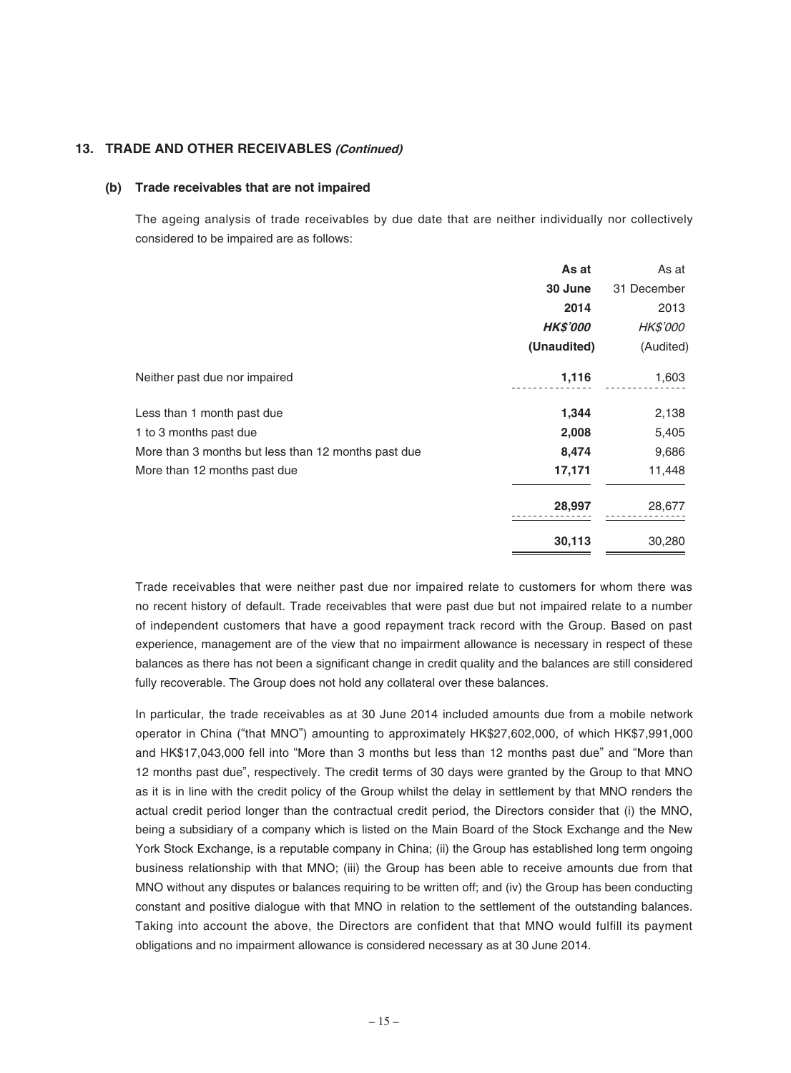# **13. TRADE AND OTHER RECEIVABLES (Continued)**

#### **(b) Trade receivables that are not impaired**

The ageing analysis of trade receivables by due date that are neither individually nor collectively considered to be impaired are as follows:

|                                                     | As at           | As at           |
|-----------------------------------------------------|-----------------|-----------------|
|                                                     | 30 June         | 31 December     |
|                                                     | 2014            | 2013            |
|                                                     | <b>HK\$'000</b> | <b>HK\$'000</b> |
|                                                     | (Unaudited)     | (Audited)       |
| Neither past due nor impaired                       | 1,116           | 1,603           |
| Less than 1 month past due                          | 1,344           | 2,138           |
| 1 to 3 months past due                              | 2,008           | 5,405           |
| More than 3 months but less than 12 months past due | 8,474           | 9,686           |
| More than 12 months past due                        | 17,171          | 11,448          |
|                                                     | 28,997          | 28,677          |
|                                                     | 30,113          | 30,280          |

Trade receivables that were neither past due nor impaired relate to customers for whom there was no recent history of default. Trade receivables that were past due but not impaired relate to a number of independent customers that have a good repayment track record with the Group. Based on past experience, management are of the view that no impairment allowance is necessary in respect of these balances as there has not been a significant change in credit quality and the balances are still considered fully recoverable. The Group does not hold any collateral over these balances.

In particular, the trade receivables as at 30 June 2014 included amounts due from a mobile network operator in China ("that MNO") amounting to approximately HK\$27,602,000, of which HK\$7,991,000 and HK\$17,043,000 fell into "More than 3 months but less than 12 months past due" and "More than 12 months past due", respectively. The credit terms of 30 days were granted by the Group to that MNO as it is in line with the credit policy of the Group whilst the delay in settlement by that MNO renders the actual credit period longer than the contractual credit period, the Directors consider that (i) the MNO, being a subsidiary of a company which is listed on the Main Board of the Stock Exchange and the New York Stock Exchange, is a reputable company in China; (ii) the Group has established long term ongoing business relationship with that MNO; (iii) the Group has been able to receive amounts due from that MNO without any disputes or balances requiring to be written off; and (iv) the Group has been conducting constant and positive dialogue with that MNO in relation to the settlement of the outstanding balances. Taking into account the above, the Directors are confident that that MNO would fulfill its payment obligations and no impairment allowance is considered necessary as at 30 June 2014.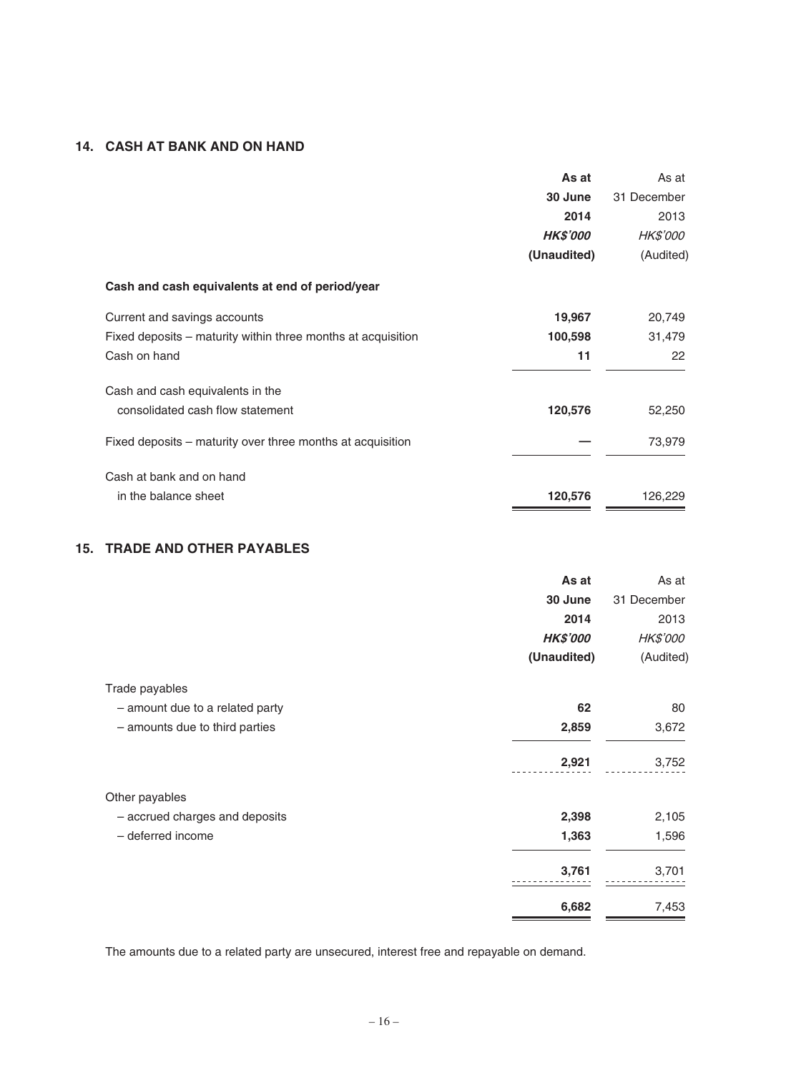# **14. CASH AT BANK AND ON HAND**

|                                                              | As at           | As at           |
|--------------------------------------------------------------|-----------------|-----------------|
|                                                              | 30 June         | 31 December     |
|                                                              | 2014            | 2013            |
|                                                              | <b>HK\$'000</b> | <b>HK\$'000</b> |
|                                                              | (Unaudited)     | (Audited)       |
| Cash and cash equivalents at end of period/year              |                 |                 |
| Current and savings accounts                                 | 19,967          | 20,749          |
| Fixed deposits – maturity within three months at acquisition | 100,598         | 31,479          |
| Cash on hand                                                 | 11              | 22              |
| Cash and cash equivalents in the                             |                 |                 |
| consolidated cash flow statement                             | 120,576         | 52,250          |
| Fixed deposits – maturity over three months at acquisition   |                 | 73,979          |
| Cash at bank and on hand                                     |                 |                 |
| in the balance sheet                                         | 120,576         | 126,229         |

# **15. TRADE AND OTHER PAYABLES**

|                                 | As at           | As at           |
|---------------------------------|-----------------|-----------------|
|                                 | 30 June         | 31 December     |
|                                 | 2014            | 2013            |
|                                 | <b>HK\$'000</b> | <b>HK\$'000</b> |
|                                 | (Unaudited)     | (Audited)       |
| Trade payables                  |                 |                 |
| - amount due to a related party | 62              | 80              |
| - amounts due to third parties  | 2,859           | 3,672           |
|                                 | 2,921           | 3,752           |
| Other payables                  |                 |                 |
| - accrued charges and deposits  | 2,398           | 2,105           |
| - deferred income               | 1,363           | 1,596           |
|                                 | 3,761           | 3,701           |
|                                 | 6,682           | 7,453           |

The amounts due to a related party are unsecured, interest free and repayable on demand.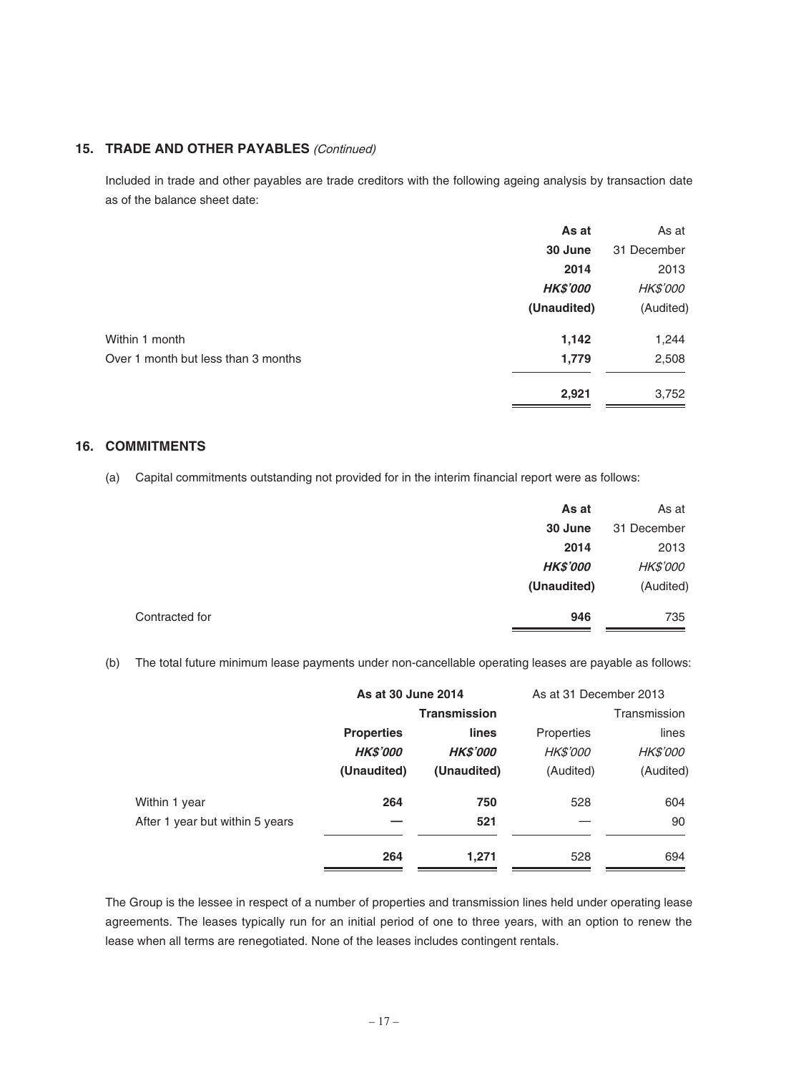# **15. TRADE AND OTHER PAYABLES** (Continued)

Included in trade and other payables are trade creditors with the following ageing analysis by transaction date as of the balance sheet date:

| As at           | As at           |
|-----------------|-----------------|
| 30 June         | 31 December     |
| 2014            | 2013            |
| <b>HK\$'000</b> | <b>HK\$'000</b> |
| (Unaudited)     | (Audited)       |
| 1,142           | 1,244           |
| 1,779           | 2,508           |
| 2,921           | 3,752           |
|                 |                 |

# **16. COMMITMENTS**

(a) Capital commitments outstanding not provided for in the interim financial report were as follows:

|                | As at           | As at           |
|----------------|-----------------|-----------------|
|                | 30 June         | 31 December     |
|                | 2014            | 2013            |
|                | <b>HK\$'000</b> | <b>HK\$'000</b> |
|                | (Unaudited)     | (Audited)       |
| Contracted for | 946             | 735             |

(b) The total future minimum lease payments under non-cancellable operating leases are payable as follows:

|                                 | As at 30 June 2014  |                 | As at 31 December 2013 |                 |
|---------------------------------|---------------------|-----------------|------------------------|-----------------|
|                                 | <b>Transmission</b> |                 |                        | Transmission    |
|                                 | <b>Properties</b>   | lines           | Properties             | lines           |
|                                 | <b>HK\$'000</b>     | <b>HK\$'000</b> | <b>HK\$'000</b>        | <i>HK\$'000</i> |
|                                 | (Unaudited)         | (Unaudited)     | (Audited)              | (Audited)       |
| Within 1 year                   | 264                 | 750             | 528                    | 604             |
| After 1 year but within 5 years |                     | 521             |                        | 90              |
|                                 | 264                 | 1,271           | 528                    | 694             |

The Group is the lessee in respect of a number of properties and transmission lines held under operating lease agreements. The leases typically run for an initial period of one to three years, with an option to renew the lease when all terms are renegotiated. None of the leases includes contingent rentals.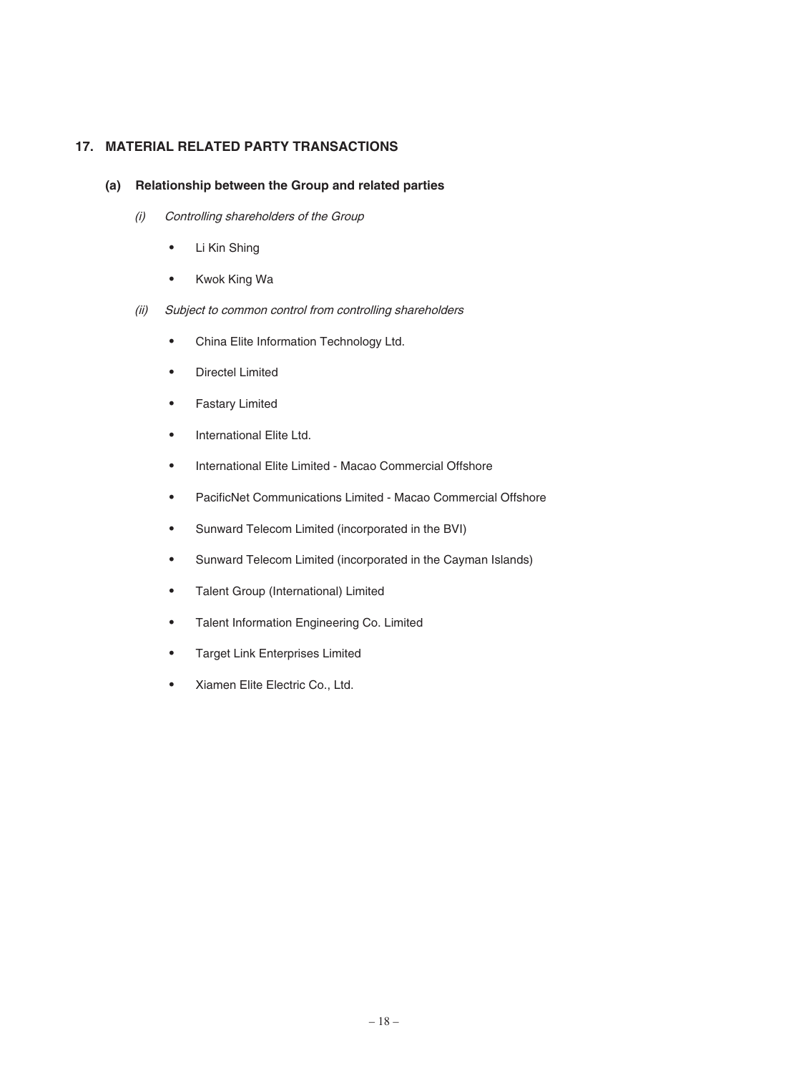# **17. MATERIAL RELATED PARTY TRANSACTIONS**

#### **(a) Relationship between the Group and related parties**

- (i) Controlling shareholders of the Group
	- ‧ Li Kin Shing
	- ‧ Kwok King Wa
- (ii) Subject to common control from controlling shareholders
	- ‧ China Elite Information Technology Ltd.
	- ‧ Directel Limited
	- ‧ Fastary Limited
	- ‧ International Elite Ltd.
	- ‧ International Elite Limited Macao Commercial Offshore
	- PacificNet Communications Limited Macao Commercial Offshore
	- ‧ Sunward Telecom Limited (incorporated in the BVI)
	- ‧ Sunward Telecom Limited (incorporated in the Cayman Islands)
	- ‧ Talent Group (International) Limited
	- ‧ Talent Information Engineering Co. Limited
	- ‧ Target Link Enterprises Limited
	- ‧ Xiamen Elite Electric Co., Ltd.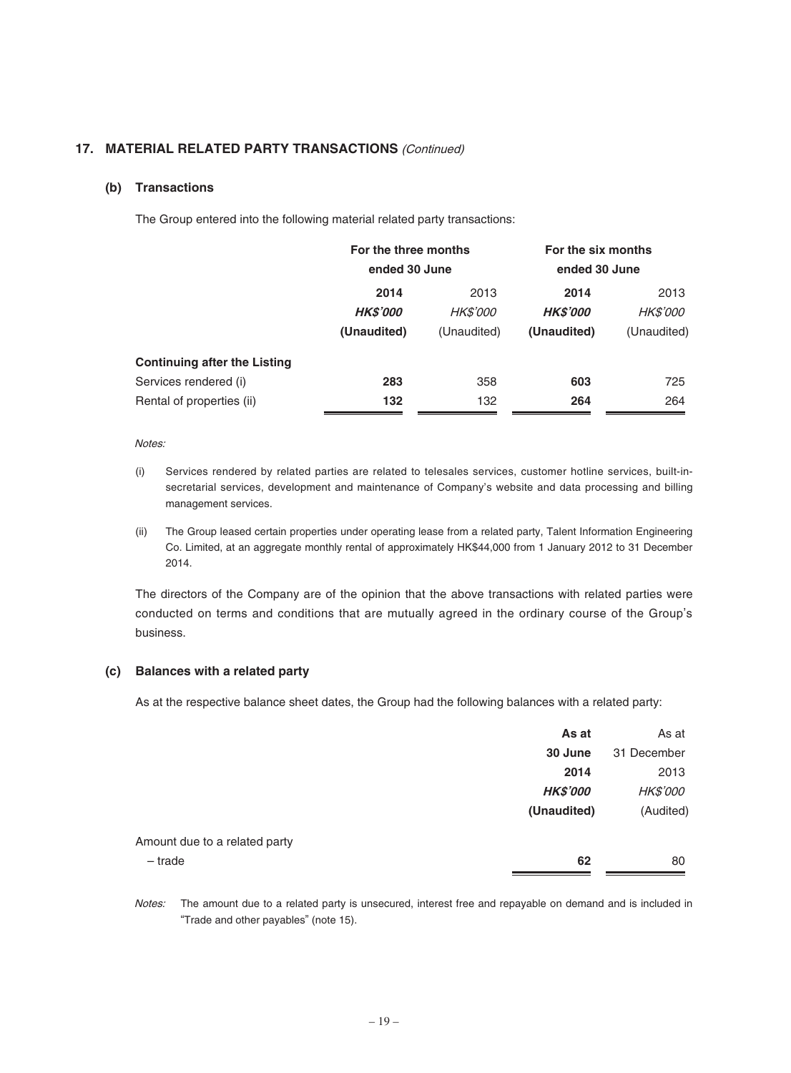# **17. MATERIAL RELATED PARTY TRANSACTIONS** (Continued)

#### **(b) Transactions**

The Group entered into the following material related party transactions:

|                                     | For the three months<br>ended 30 June |                 | For the six months<br>ended 30 June |                 |
|-------------------------------------|---------------------------------------|-----------------|-------------------------------------|-----------------|
|                                     | 2014                                  | 2013            | 2014                                | 2013            |
|                                     | <b>HK\$'000</b>                       | <i>HK\$'000</i> | <b>HK\$'000</b>                     | <b>HK\$'000</b> |
|                                     | (Unaudited)                           | (Unaudited)     | (Unaudited)                         | (Unaudited)     |
| <b>Continuing after the Listing</b> |                                       |                 |                                     |                 |
| Services rendered (i)               | 283                                   | 358             | 603                                 | 725             |
| Rental of properties (ii)           | 132                                   | 132             | 264                                 | 264             |

#### Notes:

- (i) Services rendered by related parties are related to telesales services, customer hotline services, built-insecretarial services, development and maintenance of Company's website and data processing and billing management services.
- (ii) The Group leased certain properties under operating lease from a related party, Talent Information Engineering Co. Limited, at an aggregate monthly rental of approximately HK\$44,000 from 1 January 2012 to 31 December 2014.

The directors of the Company are of the opinion that the above transactions with related parties were conducted on terms and conditions that are mutually agreed in the ordinary course of the Group's business.

#### **(c) Balances with a related party**

As at the respective balance sheet dates, the Group had the following balances with a related party:

|                               | As at           | As at           |
|-------------------------------|-----------------|-----------------|
|                               | 30 June         | 31 December     |
|                               | 2014            | 2013            |
|                               | <b>HK\$'000</b> | <b>HK\$'000</b> |
|                               | (Unaudited)     | (Audited)       |
| Amount due to a related party |                 |                 |
| $-$ trade                     | 62              | 80              |
|                               |                 |                 |

Notes: The amount due to a related party is unsecured, interest free and repayable on demand and is included in "Trade and other payables" (note 15).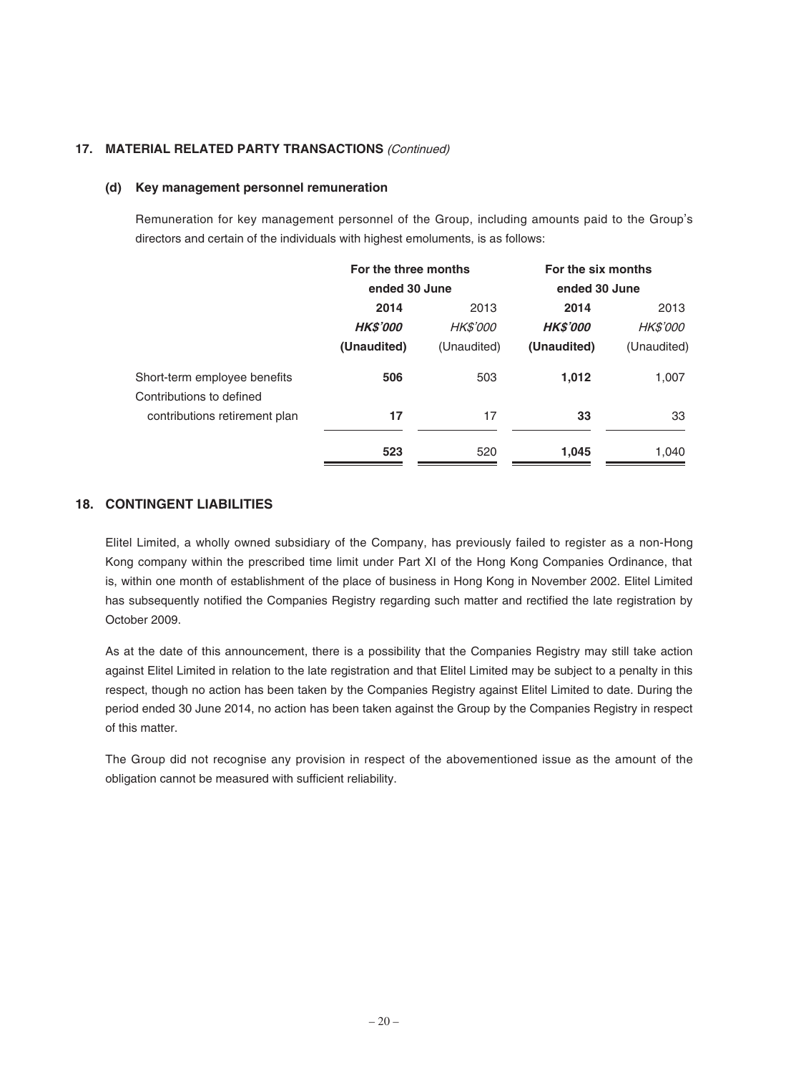# **17. MATERIAL RELATED PARTY TRANSACTIONS** (Continued)

#### **(d) Key management personnel remuneration**

Remuneration for key management personnel of the Group, including amounts paid to the Group's directors and certain of the individuals with highest emoluments, is as follows:

|                               | For the three months<br>ended 30 June |                 | For the six months<br>ended 30 June |                 |
|-------------------------------|---------------------------------------|-----------------|-------------------------------------|-----------------|
|                               |                                       |                 |                                     |                 |
|                               | 2014                                  | 2013            | 2014                                | 2013            |
|                               | <b>HK\$'000</b>                       | <b>HK\$'000</b> | <b>HK\$'000</b>                     | <i>HK\$'000</i> |
|                               | (Unaudited)                           | (Unaudited)     | (Unaudited)                         | (Unaudited)     |
| Short-term employee benefits  | 506                                   | 503             | 1,012                               | 1,007           |
| Contributions to defined      |                                       |                 |                                     |                 |
| contributions retirement plan | 17                                    | 17              | 33                                  | 33              |
|                               | 523                                   | 520             | 1,045                               | 1,040           |

# **18. CONTINGENT LIABILITIES**

Elitel Limited, a wholly owned subsidiary of the Company, has previously failed to register as a non-Hong Kong company within the prescribed time limit under Part XI of the Hong Kong Companies Ordinance, that is, within one month of establishment of the place of business in Hong Kong in November 2002. Elitel Limited has subsequently notified the Companies Registry regarding such matter and rectified the late registration by October 2009.

As at the date of this announcement, there is a possibility that the Companies Registry may still take action against Elitel Limited in relation to the late registration and that Elitel Limited may be subject to a penalty in this respect, though no action has been taken by the Companies Registry against Elitel Limited to date. During the period ended 30 June 2014, no action has been taken against the Group by the Companies Registry in respect of this matter.

The Group did not recognise any provision in respect of the abovementioned issue as the amount of the obligation cannot be measured with sufficient reliability.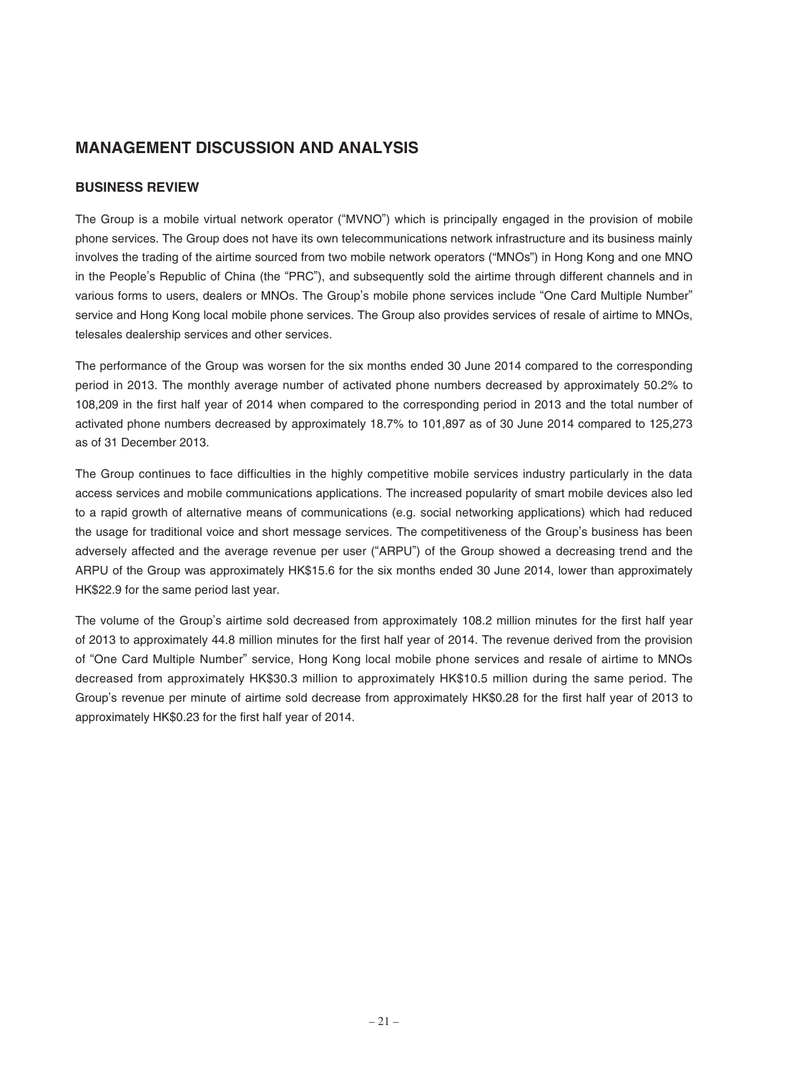# **MANAGEMENT DISCUSSION AND ANALYSIS**

## **BUSINESS REVIEW**

The Group is a mobile virtual network operator ("MVNO") which is principally engaged in the provision of mobile phone services. The Group does not have its own telecommunications network infrastructure and its business mainly involves the trading of the airtime sourced from two mobile network operators ("MNOs") in Hong Kong and one MNO in the People's Republic of China (the "PRC"), and subsequently sold the airtime through different channels and in various forms to users, dealers or MNOs. The Group's mobile phone services include "One Card Multiple Number" service and Hong Kong local mobile phone services. The Group also provides services of resale of airtime to MNOs, telesales dealership services and other services.

The performance of the Group was worsen for the six months ended 30 June 2014 compared to the corresponding period in 2013. The monthly average number of activated phone numbers decreased by approximately 50.2% to 108,209 in the first half year of 2014 when compared to the corresponding period in 2013 and the total number of activated phone numbers decreased by approximately 18.7% to 101,897 as of 30 June 2014 compared to 125,273 as of 31 December 2013.

The Group continues to face difficulties in the highly competitive mobile services industry particularly in the data access services and mobile communications applications. The increased popularity of smart mobile devices also led to a rapid growth of alternative means of communications (e.g. social networking applications) which had reduced the usage for traditional voice and short message services. The competitiveness of the Group's business has been adversely affected and the average revenue per user ("ARPU") of the Group showed a decreasing trend and the ARPU of the Group was approximately HK\$15.6 for the six months ended 30 June 2014, lower than approximately HK\$22.9 for the same period last year.

The volume of the Group's airtime sold decreased from approximately 108.2 million minutes for the first half year of 2013 to approximately 44.8 million minutes for the first half year of 2014. The revenue derived from the provision of "One Card Multiple Number" service, Hong Kong local mobile phone services and resale of airtime to MNOs decreased from approximately HK\$30.3 million to approximately HK\$10.5 million during the same period. The Group's revenue per minute of airtime sold decrease from approximately HK\$0.28 for the first half year of 2013 to approximately HK\$0.23 for the first half year of 2014.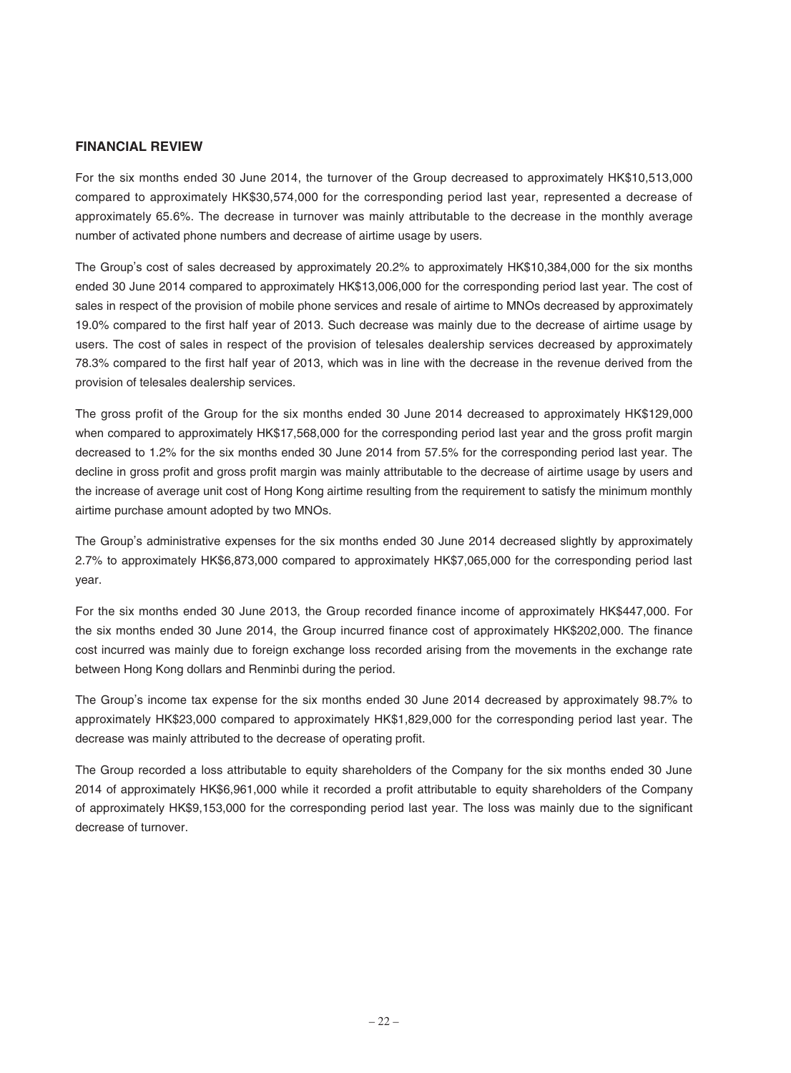#### **FINANCIAL REVIEW**

For the six months ended 30 June 2014, the turnover of the Group decreased to approximately HK\$10,513,000 compared to approximately HK\$30,574,000 for the corresponding period last year, represented a decrease of approximately 65.6%. The decrease in turnover was mainly attributable to the decrease in the monthly average number of activated phone numbers and decrease of airtime usage by users.

The Group's cost of sales decreased by approximately 20.2% to approximately HK\$10,384,000 for the six months ended 30 June 2014 compared to approximately HK\$13,006,000 for the corresponding period last year. The cost of sales in respect of the provision of mobile phone services and resale of airtime to MNOs decreased by approximately 19.0% compared to the first half year of 2013. Such decrease was mainly due to the decrease of airtime usage by users. The cost of sales in respect of the provision of telesales dealership services decreased by approximately 78.3% compared to the first half year of 2013, which was in line with the decrease in the revenue derived from the provision of telesales dealership services.

The gross profit of the Group for the six months ended 30 June 2014 decreased to approximately HK\$129,000 when compared to approximately HK\$17,568,000 for the corresponding period last year and the gross profit margin decreased to 1.2% for the six months ended 30 June 2014 from 57.5% for the corresponding period last year. The decline in gross profit and gross profit margin was mainly attributable to the decrease of airtime usage by users and the increase of average unit cost of Hong Kong airtime resulting from the requirement to satisfy the minimum monthly airtime purchase amount adopted by two MNOs.

The Group's administrative expenses for the six months ended 30 June 2014 decreased slightly by approximately 2.7% to approximately HK\$6,873,000 compared to approximately HK\$7,065,000 for the corresponding period last year.

For the six months ended 30 June 2013, the Group recorded finance income of approximately HK\$447,000. For the six months ended 30 June 2014, the Group incurred finance cost of approximately HK\$202,000. The finance cost incurred was mainly due to foreign exchange loss recorded arising from the movements in the exchange rate between Hong Kong dollars and Renminbi during the period.

The Group's income tax expense for the six months ended 30 June 2014 decreased by approximately 98.7% to approximately HK\$23,000 compared to approximately HK\$1,829,000 for the corresponding period last year. The decrease was mainly attributed to the decrease of operating profit.

The Group recorded a loss attributable to equity shareholders of the Company for the six months ended 30 June 2014 of approximately HK\$6,961,000 while it recorded a profit attributable to equity shareholders of the Company of approximately HK\$9,153,000 for the corresponding period last year. The loss was mainly due to the significant decrease of turnover.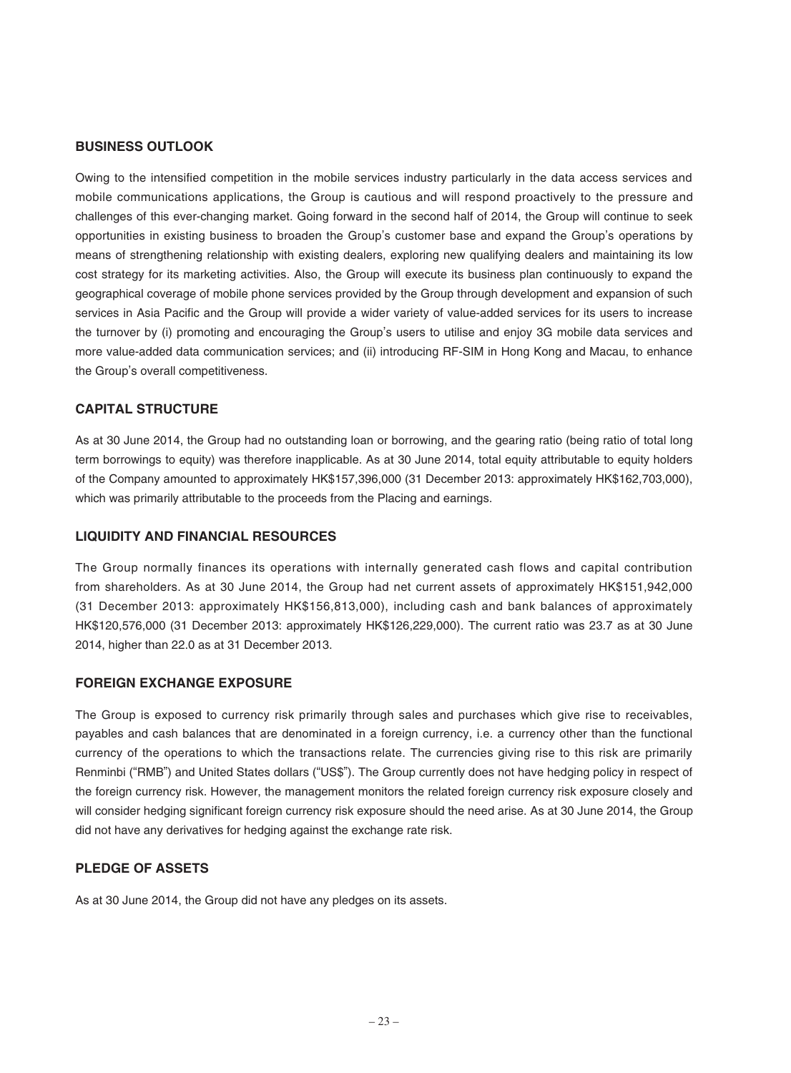#### **BUSINESS OUTLOOK**

Owing to the intensified competition in the mobile services industry particularly in the data access services and mobile communications applications, the Group is cautious and will respond proactively to the pressure and challenges of this ever-changing market. Going forward in the second half of 2014, the Group will continue to seek opportunities in existing business to broaden the Group's customer base and expand the Group's operations by means of strengthening relationship with existing dealers, exploring new qualifying dealers and maintaining its low cost strategy for its marketing activities. Also, the Group will execute its business plan continuously to expand the geographical coverage of mobile phone services provided by the Group through development and expansion of such services in Asia Pacific and the Group will provide a wider variety of value-added services for its users to increase the turnover by (i) promoting and encouraging the Group's users to utilise and enjoy 3G mobile data services and more value-added data communication services; and (ii) introducing RF-SIM in Hong Kong and Macau, to enhance the Group's overall competitiveness.

#### **CAPITAL STRUCTURE**

As at 30 June 2014, the Group had no outstanding loan or borrowing, and the gearing ratio (being ratio of total long term borrowings to equity) was therefore inapplicable. As at 30 June 2014, total equity attributable to equity holders of the Company amounted to approximately HK\$157,396,000 (31 December 2013: approximately HK\$162,703,000), which was primarily attributable to the proceeds from the Placing and earnings.

#### **LIQUIDITY AND FINANCIAL RESOURCES**

The Group normally finances its operations with internally generated cash flows and capital contribution from shareholders. As at 30 June 2014, the Group had net current assets of approximately HK\$151,942,000 (31 December 2013: approximately HK\$156,813,000), including cash and bank balances of approximately HK\$120,576,000 (31 December 2013: approximately HK\$126,229,000). The current ratio was 23.7 as at 30 June 2014, higher than 22.0 as at 31 December 2013.

#### **FOREIGN EXCHANGE EXPOSURE**

The Group is exposed to currency risk primarily through sales and purchases which give rise to receivables, payables and cash balances that are denominated in a foreign currency, i.e. a currency other than the functional currency of the operations to which the transactions relate. The currencies giving rise to this risk are primarily Renminbi ("RMB") and United States dollars ("US\$"). The Group currently does not have hedging policy in respect of the foreign currency risk. However, the management monitors the related foreign currency risk exposure closely and will consider hedging significant foreign currency risk exposure should the need arise. As at 30 June 2014, the Group did not have any derivatives for hedging against the exchange rate risk.

#### **PLEDGE OF ASSETS**

As at 30 June 2014, the Group did not have any pledges on its assets.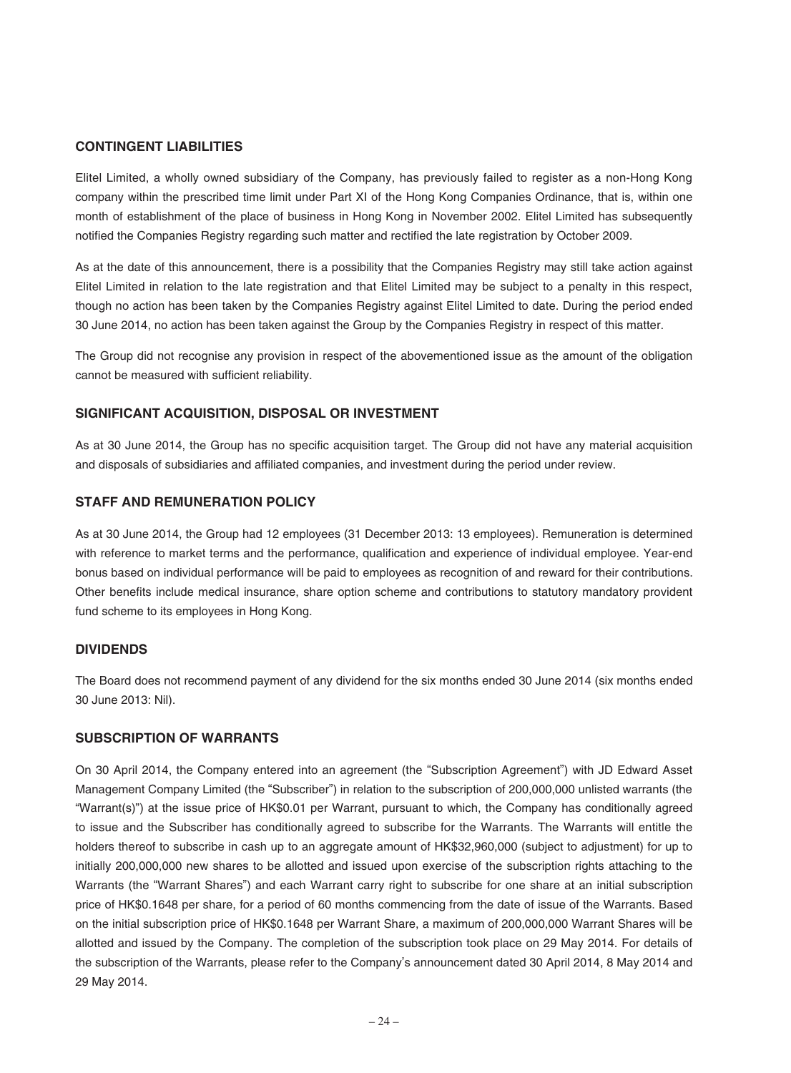#### **CONTINGENT LIABILITIES**

Elitel Limited, a wholly owned subsidiary of the Company, has previously failed to register as a non-Hong Kong company within the prescribed time limit under Part XI of the Hong Kong Companies Ordinance, that is, within one month of establishment of the place of business in Hong Kong in November 2002. Elitel Limited has subsequently notified the Companies Registry regarding such matter and rectified the late registration by October 2009.

As at the date of this announcement, there is a possibility that the Companies Registry may still take action against Elitel Limited in relation to the late registration and that Elitel Limited may be subject to a penalty in this respect, though no action has been taken by the Companies Registry against Elitel Limited to date. During the period ended 30 June 2014, no action has been taken against the Group by the Companies Registry in respect of this matter.

The Group did not recognise any provision in respect of the abovementioned issue as the amount of the obligation cannot be measured with sufficient reliability.

#### **SIGNIFICANT ACQUISITION, DISPOSAL OR INVESTMENT**

As at 30 June 2014, the Group has no specific acquisition target. The Group did not have any material acquisition and disposals of subsidiaries and affiliated companies, and investment during the period under review.

### **STAFF AND REMUNERATION POLICY**

As at 30 June 2014, the Group had 12 employees (31 December 2013: 13 employees). Remuneration is determined with reference to market terms and the performance, qualification and experience of individual employee. Year-end bonus based on individual performance will be paid to employees as recognition of and reward for their contributions. Other benefits include medical insurance, share option scheme and contributions to statutory mandatory provident fund scheme to its employees in Hong Kong.

#### **DIVIDENDS**

The Board does not recommend payment of any dividend for the six months ended 30 June 2014 (six months ended 30 June 2013: Nil).

#### **SUBSCRIPTION OF WARRANTS**

On 30 April 2014, the Company entered into an agreement (the "Subscription Agreement") with JD Edward Asset Management Company Limited (the "Subscriber") in relation to the subscription of 200,000,000 unlisted warrants (the "Warrant(s)") at the issue price of HK\$0.01 per Warrant, pursuant to which, the Company has conditionally agreed to issue and the Subscriber has conditionally agreed to subscribe for the Warrants. The Warrants will entitle the holders thereof to subscribe in cash up to an aggregate amount of HK\$32,960,000 (subject to adjustment) for up to initially 200,000,000 new shares to be allotted and issued upon exercise of the subscription rights attaching to the Warrants (the "Warrant Shares") and each Warrant carry right to subscribe for one share at an initial subscription price of HK\$0.1648 per share, for a period of 60 months commencing from the date of issue of the Warrants. Based on the initial subscription price of HK\$0.1648 per Warrant Share, a maximum of 200,000,000 Warrant Shares will be allotted and issued by the Company. The completion of the subscription took place on 29 May 2014. For details of the subscription of the Warrants, please refer to the Company's announcement dated 30 April 2014, 8 May 2014 and 29 May 2014.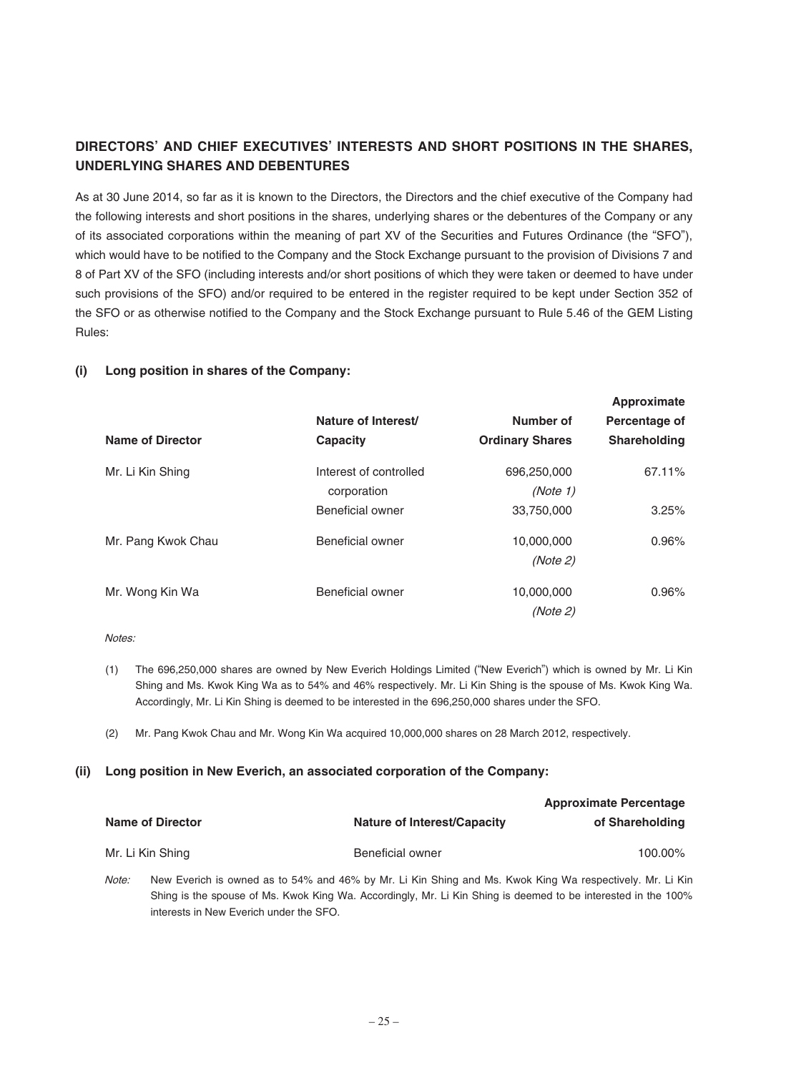# **DIRECTORS' AND CHIEF EXECUTIVES' INTERESTS AND SHORT POSITIONS IN THE SHARES, UNDERLYING SHARES AND DEBENTURES**

As at 30 June 2014, so far as it is known to the Directors, the Directors and the chief executive of the Company had the following interests and short positions in the shares, underlying shares or the debentures of the Company or any of its associated corporations within the meaning of part XV of the Securities and Futures Ordinance (the "SFO"), which would have to be notified to the Company and the Stock Exchange pursuant to the provision of Divisions 7 and 8 of Part XV of the SFO (including interests and/or short positions of which they were taken or deemed to have under such provisions of the SFO) and/or required to be entered in the register required to be kept under Section 352 of the SFO or as otherwise notified to the Company and the Stock Exchange pursuant to Rule 5.46 of the GEM Listing Rules:

#### **(i) Long position in shares of the Company:**

|                         |                        |                        | <b>HPPLOAILING</b>  |
|-------------------------|------------------------|------------------------|---------------------|
|                         | Nature of Interest/    | Number of              | Percentage of       |
| <b>Name of Director</b> | Capacity               | <b>Ordinary Shares</b> | <b>Shareholding</b> |
| Mr. Li Kin Shing        | Interest of controlled | 696,250,000            | 67.11%              |
|                         | corporation            | (Note 1)               |                     |
|                         | Beneficial owner       | 33,750,000             | 3.25%               |
| Mr. Pang Kwok Chau      | Beneficial owner       | 10.000.000             | 0.96%               |
|                         |                        | (Note 2)               |                     |
| Mr. Wong Kin Wa         | Beneficial owner       | 10.000.000             | 0.96%               |
|                         |                        | (Note 2)               |                     |

**Approximate**

Notes:

- (1) The 696,250,000 shares are owned by New Everich Holdings Limited ("New Everich") which is owned by Mr. Li Kin Shing and Ms. Kwok King Wa as to 54% and 46% respectively. Mr. Li Kin Shing is the spouse of Ms. Kwok King Wa. Accordingly, Mr. Li Kin Shing is deemed to be interested in the 696,250,000 shares under the SFO.
- (2) Mr. Pang Kwok Chau and Mr. Wong Kin Wa acquired 10,000,000 shares on 28 March 2012, respectively.

#### **(ii) Long position in New Everich, an associated corporation of the Company:**

| <b>Name of Director</b> | <b>Nature of Interest/Capacity</b> | <b>Approximate Percentage</b><br>of Shareholding                                                        |
|-------------------------|------------------------------------|---------------------------------------------------------------------------------------------------------|
| Mr. Li Kin Shing        | Beneficial owner                   | 100.00%                                                                                                 |
| Moto:                   |                                    | New Everich is owned as to 54% and 46% by Mr. Li Kin Shing and Ms. Kwok King Wa respectively Mr. Li Kin |

Note: New Everich is owned as to 54% and 46% by Mr. Li Kin Shing and Ms. Kwok King Wa respectively. Mr. Li Kin Shing is the spouse of Ms. Kwok King Wa. Accordingly, Mr. Li Kin Shing is deemed to be interested in the 100% interests in New Everich under the SFO.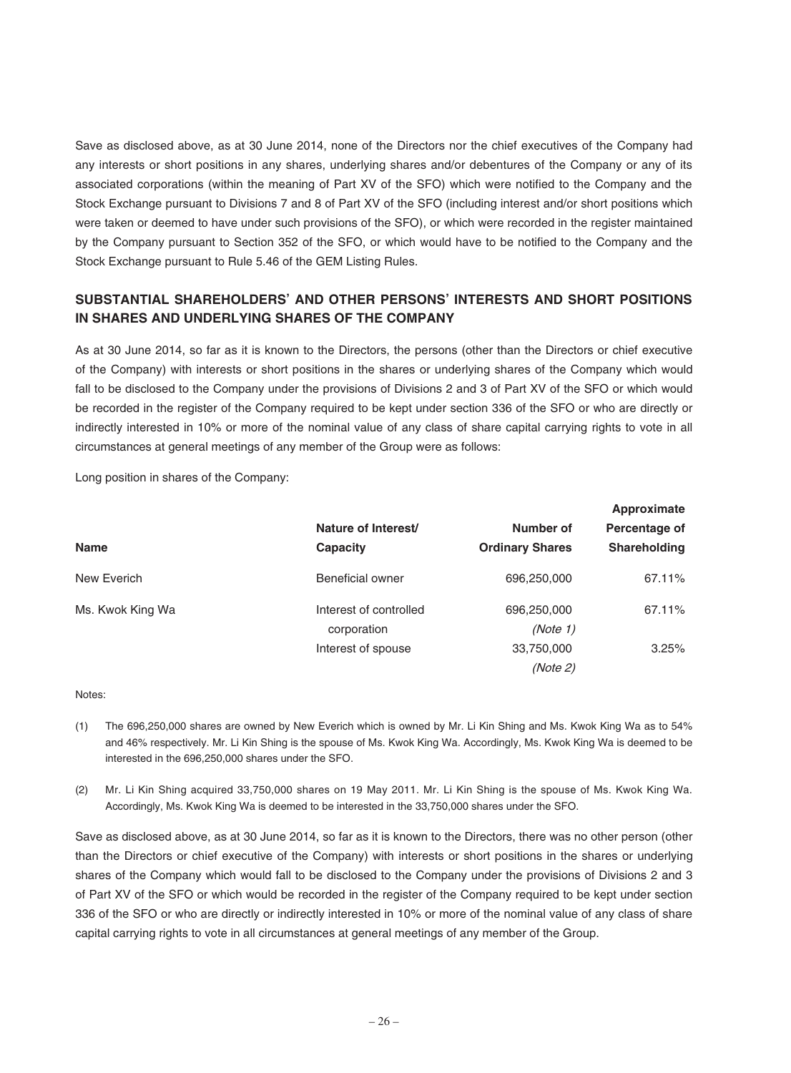Save as disclosed above, as at 30 June 2014, none of the Directors nor the chief executives of the Company had any interests or short positions in any shares, underlying shares and/or debentures of the Company or any of its associated corporations (within the meaning of Part XV of the SFO) which were notified to the Company and the Stock Exchange pursuant to Divisions 7 and 8 of Part XV of the SFO (including interest and/or short positions which were taken or deemed to have under such provisions of the SFO), or which were recorded in the register maintained by the Company pursuant to Section 352 of the SFO, or which would have to be notified to the Company and the Stock Exchange pursuant to Rule 5.46 of the GEM Listing Rules.

# **SUBSTANTIAL SHAREHOLDERS' AND OTHER PERSONS' INTERESTS AND SHORT POSITIONS IN SHARES AND UNDERLYING SHARES OF THE COMPANY**

As at 30 June 2014, so far as it is known to the Directors, the persons (other than the Directors or chief executive of the Company) with interests or short positions in the shares or underlying shares of the Company which would fall to be disclosed to the Company under the provisions of Divisions 2 and 3 of Part XV of the SFO or which would be recorded in the register of the Company required to be kept under section 336 of the SFO or who are directly or indirectly interested in 10% or more of the nominal value of any class of share capital carrying rights to vote in all circumstances at general meetings of any member of the Group were as follows:

Long position in shares of the Company:

|                  | Nature of Interest/    | Number of              | <b>Approximate</b><br>Percentage of |
|------------------|------------------------|------------------------|-------------------------------------|
| <b>Name</b>      | Capacity               | <b>Ordinary Shares</b> | Shareholding                        |
| New Everich      | Beneficial owner       | 696,250,000            | 67.11%                              |
| Ms. Kwok King Wa | Interest of controlled | 696,250,000            | 67.11%                              |
|                  | corporation            | (Note 1)               |                                     |
|                  | Interest of spouse     | 33,750,000             | 3.25%                               |
|                  |                        | (Note 2)               |                                     |

Notes:

- (1) The 696,250,000 shares are owned by New Everich which is owned by Mr. Li Kin Shing and Ms. Kwok King Wa as to 54% and 46% respectively. Mr. Li Kin Shing is the spouse of Ms. Kwok King Wa. Accordingly, Ms. Kwok King Wa is deemed to be interested in the 696,250,000 shares under the SFO.
- (2) Mr. Li Kin Shing acquired 33,750,000 shares on 19 May 2011. Mr. Li Kin Shing is the spouse of Ms. Kwok King Wa. Accordingly, Ms. Kwok King Wa is deemed to be interested in the 33,750,000 shares under the SFO.

Save as disclosed above, as at 30 June 2014, so far as it is known to the Directors, there was no other person (other than the Directors or chief executive of the Company) with interests or short positions in the shares or underlying shares of the Company which would fall to be disclosed to the Company under the provisions of Divisions 2 and 3 of Part XV of the SFO or which would be recorded in the register of the Company required to be kept under section 336 of the SFO or who are directly or indirectly interested in 10% or more of the nominal value of any class of share capital carrying rights to vote in all circumstances at general meetings of any member of the Group.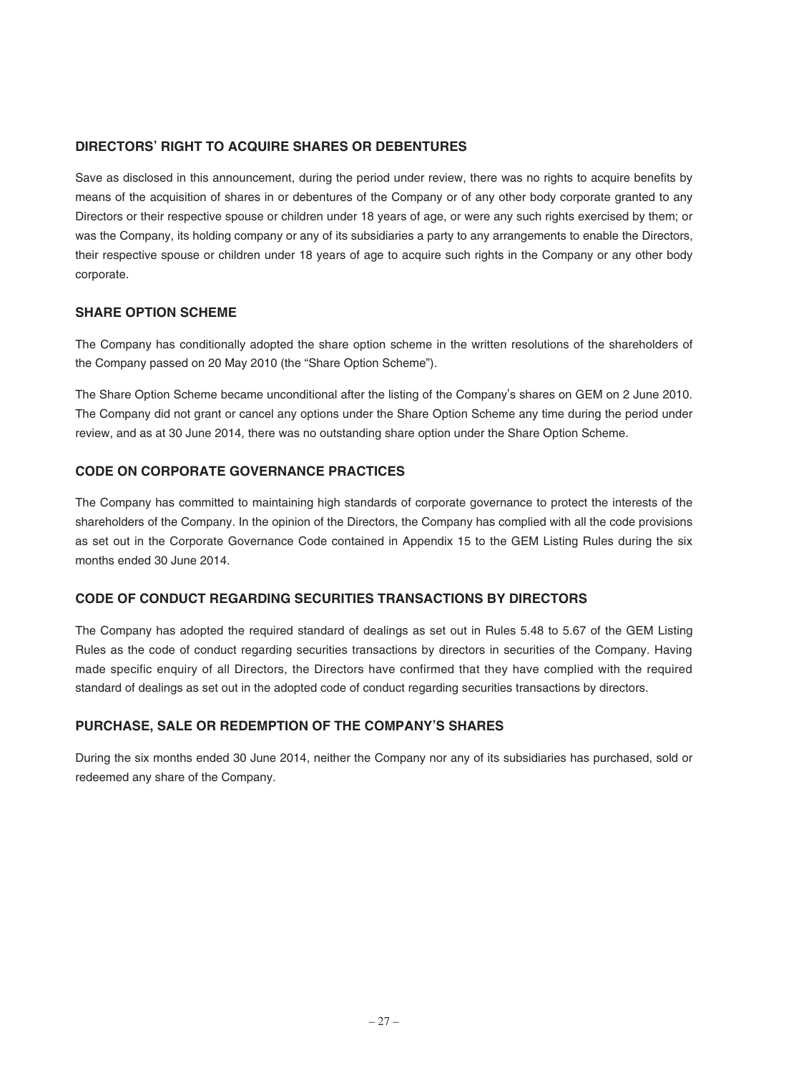## **DIRECTORS' RIGHT TO ACQUIRE SHARES OR DEBENTURES**

Save as disclosed in this announcement, during the period under review, there was no rights to acquire benefits by means of the acquisition of shares in or debentures of the Company or of any other body corporate granted to any Directors or their respective spouse or children under 18 years of age, or were any such rights exercised by them; or was the Company, its holding company or any of its subsidiaries a party to any arrangements to enable the Directors, their respective spouse or children under 18 years of age to acquire such rights in the Company or any other body corporate.

### **SHARE OPTION SCHEME**

The Company has conditionally adopted the share option scheme in the written resolutions of the shareholders of the Company passed on 20 May 2010 (the "Share Option Scheme").

The Share Option Scheme became unconditional after the listing of the Company's shares on GEM on 2 June 2010. The Company did not grant or cancel any options under the Share Option Scheme any time during the period under review, and as at 30 June 2014, there was no outstanding share option under the Share Option Scheme.

# **CODE ON CORPORATE GOVERNANCE PRACTICES**

The Company has committed to maintaining high standards of corporate governance to protect the interests of the shareholders of the Company. In the opinion of the Directors, the Company has complied with all the code provisions as set out in the Corporate Governance Code contained in Appendix 15 to the GEM Listing Rules during the six months ended 30 June 2014.

## **CODE OF CONDUCT REGARDING SECURITIES TRANSACTIONS BY DIRECTORS**

The Company has adopted the required standard of dealings as set out in Rules 5.48 to 5.67 of the GEM Listing Rules as the code of conduct regarding securities transactions by directors in securities of the Company. Having made specific enquiry of all Directors, the Directors have confirmed that they have complied with the required standard of dealings as set out in the adopted code of conduct regarding securities transactions by directors.

### **PURCHASE, SALE OR REDEMPTION OF THE COMPANY'S SHARES**

During the six months ended 30 June 2014, neither the Company nor any of its subsidiaries has purchased, sold or redeemed any share of the Company.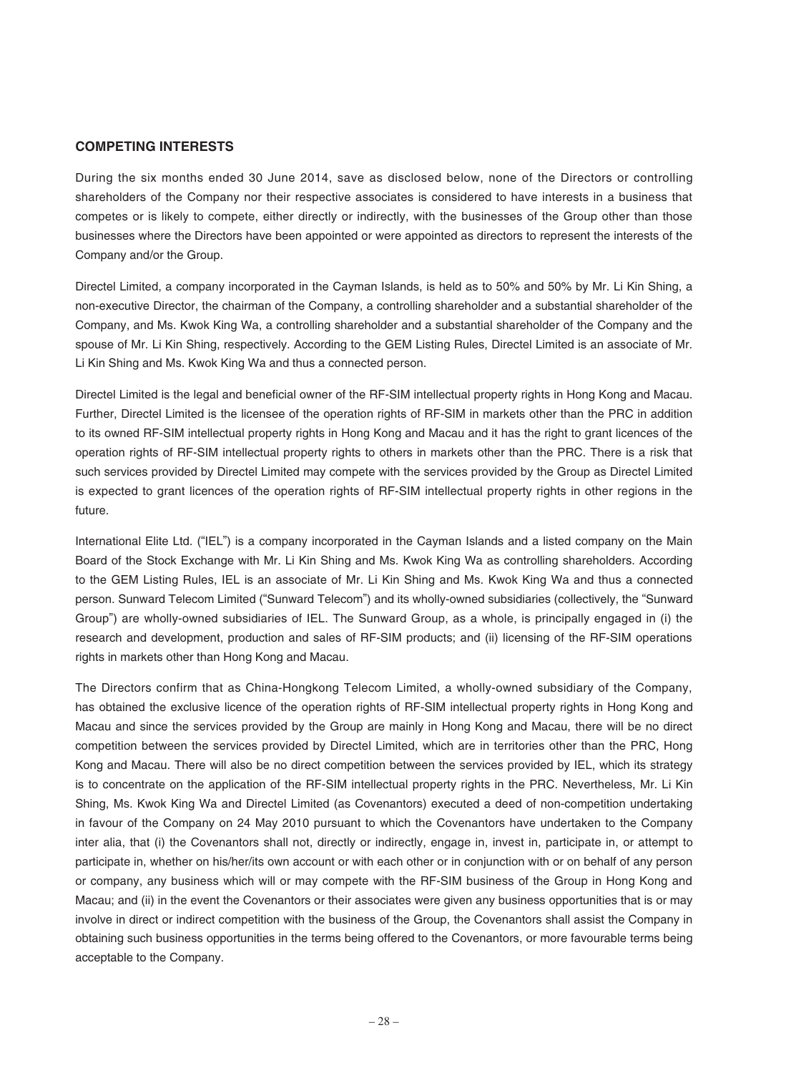#### **COMPETING INTERESTS**

During the six months ended 30 June 2014, save as disclosed below, none of the Directors or controlling shareholders of the Company nor their respective associates is considered to have interests in a business that competes or is likely to compete, either directly or indirectly, with the businesses of the Group other than those businesses where the Directors have been appointed or were appointed as directors to represent the interests of the Company and/or the Group.

Directel Limited, a company incorporated in the Cayman Islands, is held as to 50% and 50% by Mr. Li Kin Shing, a non-executive Director, the chairman of the Company, a controlling shareholder and a substantial shareholder of the Company, and Ms. Kwok King Wa, a controlling shareholder and a substantial shareholder of the Company and the spouse of Mr. Li Kin Shing, respectively. According to the GEM Listing Rules, Directel Limited is an associate of Mr. Li Kin Shing and Ms. Kwok King Wa and thus a connected person.

Directel Limited is the legal and beneficial owner of the RF-SIM intellectual property rights in Hong Kong and Macau. Further, Directel Limited is the licensee of the operation rights of RF-SIM in markets other than the PRC in addition to its owned RF-SIM intellectual property rights in Hong Kong and Macau and it has the right to grant licences of the operation rights of RF-SIM intellectual property rights to others in markets other than the PRC. There is a risk that such services provided by Directel Limited may compete with the services provided by the Group as Directel Limited is expected to grant licences of the operation rights of RF-SIM intellectual property rights in other regions in the future.

International Elite Ltd. ("IEL") is a company incorporated in the Cayman Islands and a listed company on the Main Board of the Stock Exchange with Mr. Li Kin Shing and Ms. Kwok King Wa as controlling shareholders. According to the GEM Listing Rules, IEL is an associate of Mr. Li Kin Shing and Ms. Kwok King Wa and thus a connected person. Sunward Telecom Limited ("Sunward Telecom") and its wholly-owned subsidiaries (collectively, the "Sunward Group") are wholly-owned subsidiaries of IEL. The Sunward Group, as a whole, is principally engaged in (i) the research and development, production and sales of RF-SIM products; and (ii) licensing of the RF-SIM operations rights in markets other than Hong Kong and Macau.

The Directors confirm that as China-Hongkong Telecom Limited, a wholly-owned subsidiary of the Company, has obtained the exclusive licence of the operation rights of RF-SIM intellectual property rights in Hong Kong and Macau and since the services provided by the Group are mainly in Hong Kong and Macau, there will be no direct competition between the services provided by Directel Limited, which are in territories other than the PRC, Hong Kong and Macau. There will also be no direct competition between the services provided by IEL, which its strategy is to concentrate on the application of the RF-SIM intellectual property rights in the PRC. Nevertheless, Mr. Li Kin Shing, Ms. Kwok King Wa and Directel Limited (as Covenantors) executed a deed of non-competition undertaking in favour of the Company on 24 May 2010 pursuant to which the Covenantors have undertaken to the Company inter alia, that (i) the Covenantors shall not, directly or indirectly, engage in, invest in, participate in, or attempt to participate in, whether on his/her/its own account or with each other or in conjunction with or on behalf of any person or company, any business which will or may compete with the RF-SIM business of the Group in Hong Kong and Macau; and (ii) in the event the Covenantors or their associates were given any business opportunities that is or may involve in direct or indirect competition with the business of the Group, the Covenantors shall assist the Company in obtaining such business opportunities in the terms being offered to the Covenantors, or more favourable terms being acceptable to the Company.